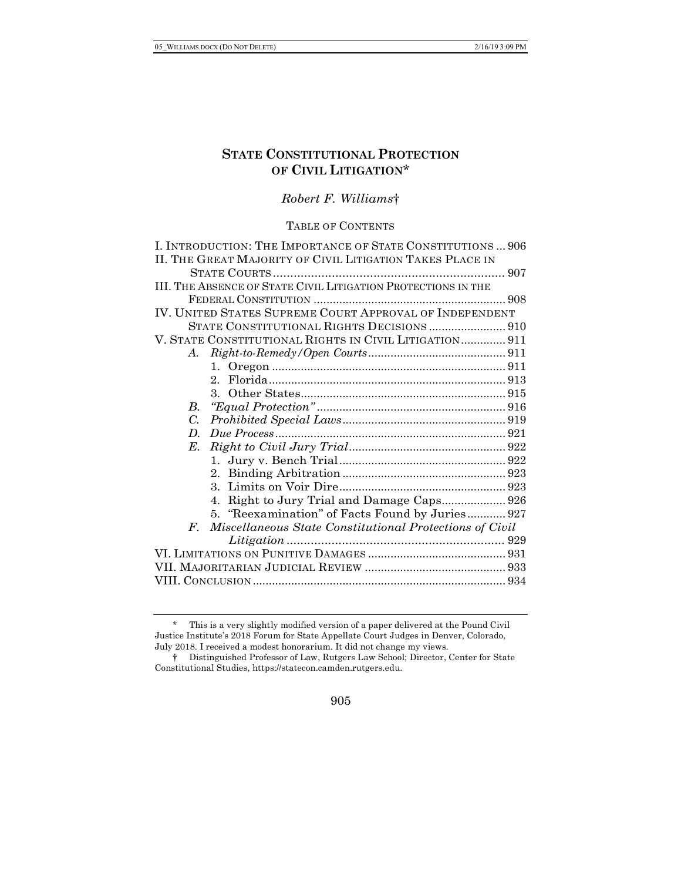# **STATE CONSTITUTIONAL PROTECTION OF CIVIL LITIGATION**\*

*Robert F. Williams*†

TABLE OF CONTENTS

|             | I. INTRODUCTION: THE IMPORTANCE OF STATE CONSTITUTIONS  906   |  |
|-------------|---------------------------------------------------------------|--|
|             | II. THE GREAT MAJORITY OF CIVIL LITIGATION TAKES PLACE IN     |  |
|             |                                                               |  |
|             | III. THE ABSENCE OF STATE CIVIL LITIGATION PROTECTIONS IN THE |  |
|             |                                                               |  |
|             | IV. UNITED STATES SUPREME COURT APPROVAL OF INDEPENDENT       |  |
|             | STATE CONSTITUTIONAL RIGHTS DECISIONS  910                    |  |
|             | V. STATE CONSTITUTIONAL RIGHTS IN CIVIL LITIGATION 911        |  |
| A.          |                                                               |  |
|             |                                                               |  |
|             |                                                               |  |
|             |                                                               |  |
| $B_{\cdot}$ |                                                               |  |
| $C_{\cdot}$ |                                                               |  |
| $D_{\cdot}$ |                                                               |  |
| $E_{\cdot}$ |                                                               |  |
|             |                                                               |  |
|             |                                                               |  |
|             |                                                               |  |
|             | Right to Jury Trial and Damage Caps 926<br>$4_{-}$            |  |
|             | 5. "Reexamination" of Facts Found by Juries 927               |  |
|             | F. Miscellaneous State Constitutional Protections of Civil    |  |
|             |                                                               |  |
|             |                                                               |  |
|             |                                                               |  |
|             |                                                               |  |

<sup>\*</sup> This is a very slightly modified version of a paper delivered at the Pound Civil Justice Institute's 2018 Forum for State Appellate Court Judges in Denver, Colorado, July 2018. I received a modest honorarium. It did not change my views.

<sup>†</sup> Distinguished Professor of Law, Rutgers Law School; Director, Center for State Constitutional Studies, https://statecon.camden.rutgers.edu.

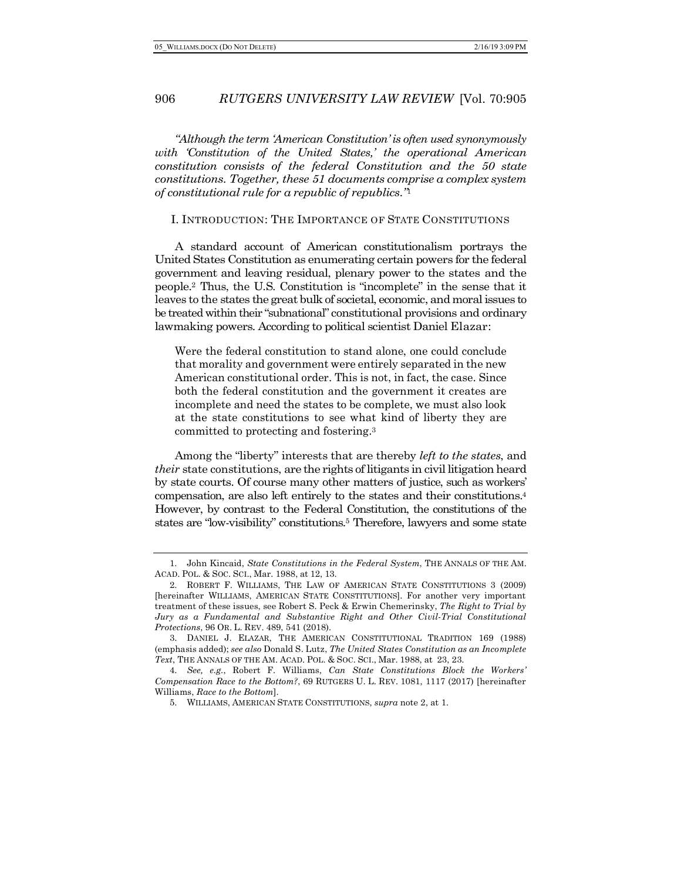*"Although the term 'American Constitution' is often used synonymously with 'Constitution of the United States,' the operational American constitution consists of the federal Constitution and the 50 state constitutions. Together, these 51 documents comprise a complex system of constitutional rule for a republic of republics."*<sup>1</sup>

#### I. INTRODUCTION: THE IMPORTANCE OF STATE CONSTITUTIONS

A standard account of American constitutionalism portrays the United States Constitution as enumerating certain powers for the federal government and leaving residual, plenary power to the states and the people.2 Thus, the U.S. Constitution is "incomplete" in the sense that it leaves to the states the great bulk of societal, economic, and moral issues to be treated within their "subnational" constitutional provisions and ordinary lawmaking powers. According to political scientist Daniel Elazar:

Were the federal constitution to stand alone, one could conclude that morality and government were entirely separated in the new American constitutional order. This is not, in fact, the case. Since both the federal constitution and the government it creates are incomplete and need the states to be complete, we must also look at the state constitutions to see what kind of liberty they are committed to protecting and fostering.3

Among the "liberty" interests that are thereby *left to the states*, and *their* state constitutions, are the rights of litigants in civil litigation heard by state courts. Of course many other matters of justice, such as workers' compensation, are also left entirely to the states and their constitutions.4 However, by contrast to the Federal Constitution, the constitutions of the states are "low-visibility" constitutions.5 Therefore, lawyers and some state

<sup>1.</sup> John Kincaid, *State Constitutions in the Federal System*, THE ANNALS OF THE AM. ACAD. POL. & SOC. SCI., Mar. 1988, at 12, 13.

<sup>2.</sup> ROBERT F. WILLIAMS, THE LAW OF AMERICAN STATE CONSTITUTIONS 3 (2009) [hereinafter WILLIAMS, AMERICAN STATE CONSTITUTIONS]. For another very important treatment of these issues, see Robert S. Peck & Erwin Chemerinsky, *The Right to Trial by Jury as a Fundamental and Substantive Right and Other Civil-Trial Constitutional Protections*, 96 OR. L. REV. 489, 541 (2018).

<sup>3.</sup> DANIEL J. ELAZAR, THE AMERICAN CONSTITUTIONAL TRADITION 169 (1988) (emphasis added); *see also* Donald S. Lutz, *The United States Constitution as an Incomplete Text*, THE ANNALS OF THE AM. ACAD. POL. & SOC. SCI., Mar. 1988, at 23, 23.

<sup>4.</sup> *See, e.g.*, Robert F. Williams, *Can State Constitutions Block the Workers' Compensation Race to the Bottom?*, 69 RUTGERS U. L. REV. 1081, 1117 (2017) [hereinafter Williams, *Race to the Bottom*].

<sup>5.</sup> WILLIAMS, AMERICAN STATE CONSTITUTIONS, *supra* note 2, at 1.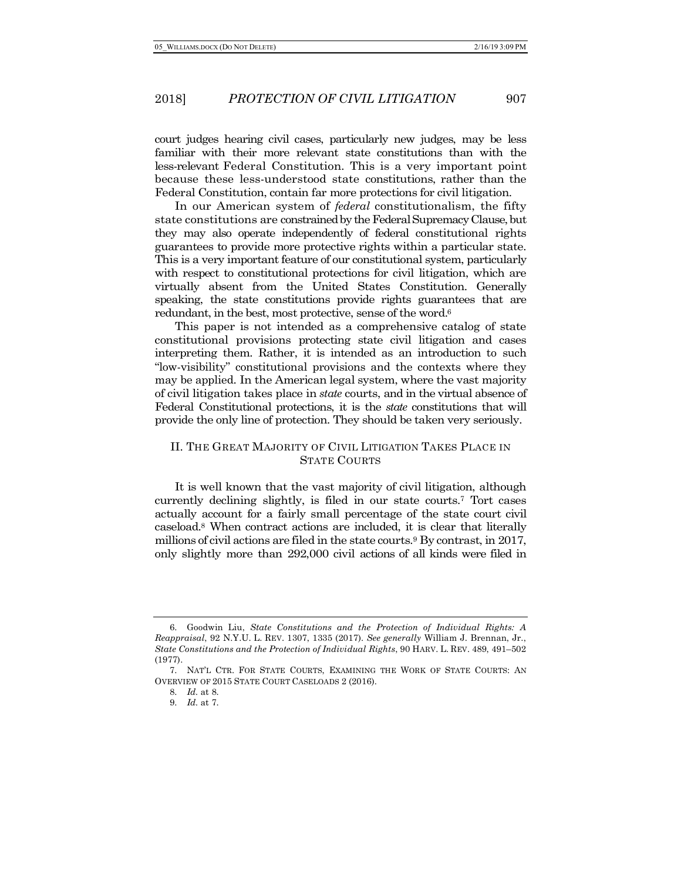court judges hearing civil cases, particularly new judges, may be less familiar with their more relevant state constitutions than with the less-relevant Federal Constitution. This is a very important point because these less-understood state constitutions, rather than the Federal Constitution, contain far more protections for civil litigation.

In our American system of *federal* constitutionalism, the fifty state constitutions are constrained by the Federal Supremacy Clause, but they may also operate independently of federal constitutional rights guarantees to provide more protective rights within a particular state. This is a very important feature of our constitutional system, particularly with respect to constitutional protections for civil litigation, which are virtually absent from the United States Constitution. Generally speaking, the state constitutions provide rights guarantees that are redundant, in the best, most protective, sense of the word.<sup>6</sup>

This paper is not intended as a comprehensive catalog of state constitutional provisions protecting state civil litigation and cases interpreting them. Rather, it is intended as an introduction to such "low-visibility" constitutional provisions and the contexts where they may be applied. In the American legal system, where the vast majority of civil litigation takes place in *state* courts, and in the virtual absence of Federal Constitutional protections, it is the *state* constitutions that will provide the only line of protection. They should be taken very seriously.

## II. THE GREAT MAJORITY OF CIVIL LITIGATION TAKES PLACE IN STATE COURTS

It is well known that the vast majority of civil litigation, although currently declining slightly, is filed in our state courts.7 Tort cases actually account for a fairly small percentage of the state court civil caseload.8 When contract actions are included, it is clear that literally millions of civil actions are filed in the state courts.9 By contrast, in 2017, only slightly more than 292,000 civil actions of all kinds were filed in

<sup>6.</sup> Goodwin Liu, *State Constitutions and the Protection of Individual Rights: A Reappraisal*, 92 N.Y.U. L. REV. 1307, 1335 (2017). *See generally* William J. Brennan, Jr., *State Constitutions and the Protection of Individual Rights*, 90 HARV. L. REV. 489, 491–502 (1977).

<sup>7.</sup> NAT'L CTR. FOR STATE COURTS, EXAMINING THE WORK OF STATE COURTS: AN OVERVIEW OF 2015 STATE COURT CASELOADS 2 (2016).

<sup>8.</sup> *Id.* at 8.

<sup>9.</sup> *Id.* at 7.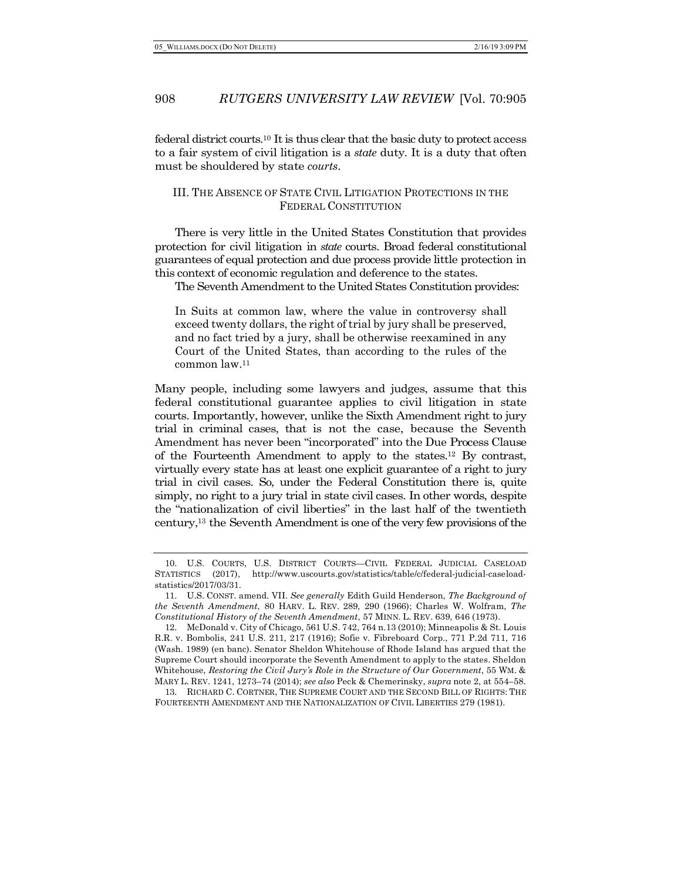federal district courts.10 It is thus clear that the basic duty to protect access to a fair system of civil litigation is a *state* duty. It is a duty that often must be shouldered by state *courts*.

### III. THE ABSENCE OF STATE CIVIL LITIGATION PROTECTIONS IN THE FEDERAL CONSTITUTION

There is very little in the United States Constitution that provides protection for civil litigation in *state* courts. Broad federal constitutional guarantees of equal protection and due process provide little protection in this context of economic regulation and deference to the states.

The Seventh Amendment to the United States Constitution provides:

In Suits at common law, where the value in controversy shall exceed twenty dollars, the right of trial by jury shall be preserved, and no fact tried by a jury, shall be otherwise reexamined in any Court of the United States, than according to the rules of the common law.11

Many people, including some lawyers and judges, assume that this federal constitutional guarantee applies to civil litigation in state courts. Importantly, however, unlike the Sixth Amendment right to jury trial in criminal cases, that is not the case, because the Seventh Amendment has never been "incorporated" into the Due Process Clause of the Fourteenth Amendment to apply to the states.12 By contrast, virtually every state has at least one explicit guarantee of a right to jury trial in civil cases. So, under the Federal Constitution there is, quite simply, no right to a jury trial in state civil cases. In other words, despite the "nationalization of civil liberties" in the last half of the twentieth century,13 the Seventh Amendment is one of the very few provisions of the

<sup>10.</sup> U.S. COURTS, U.S. DISTRICT COURTS—CIVIL FEDERAL JUDICIAL CASELOAD STATISTICS (2017), http://www.uscourts.gov/statistics/table/c/federal-judicial-caseloadstatistics/2017/03/31.

<sup>11.</sup> U.S. CONST. amend. VII. *See generally* Edith Guild Henderson, *The Background of the Seventh Amendment*, 80 HARV. L. REV. 289, 290 (1966); Charles W. Wolfram, *The Constitutional History of the Seventh Amendment*, 57 MINN. L. REV. 639, 646 (1973).

<sup>12.</sup> McDonald v. City of Chicago, 561 U.S. 742, 764 n.13 (2010); Minneapolis & St. Louis R.R. v. Bombolis, 241 U.S. 211, 217 (1916); Sofie v. Fibreboard Corp., 771 P.2d 711, 716 (Wash. 1989) (en banc). Senator Sheldon Whitehouse of Rhode Island has argued that the Supreme Court should incorporate the Seventh Amendment to apply to the states. Sheldon Whitehouse, *Restoring the Civil Jury's Role in the Structure of Our Government*, 55 WM. & MARY L. REV. 1241, 1273–74 (2014); *see also* Peck & Chemerinsky, *supra* note 2, at 554–58.

<sup>13.</sup> RICHARD C. CORTNER, THE SUPREME COURT AND THE SECOND BILL OF RIGHTS: THE FOURTEENTH AMENDMENT AND THE NATIONALIZATION OF CIVIL LIBERTIES 279 (1981).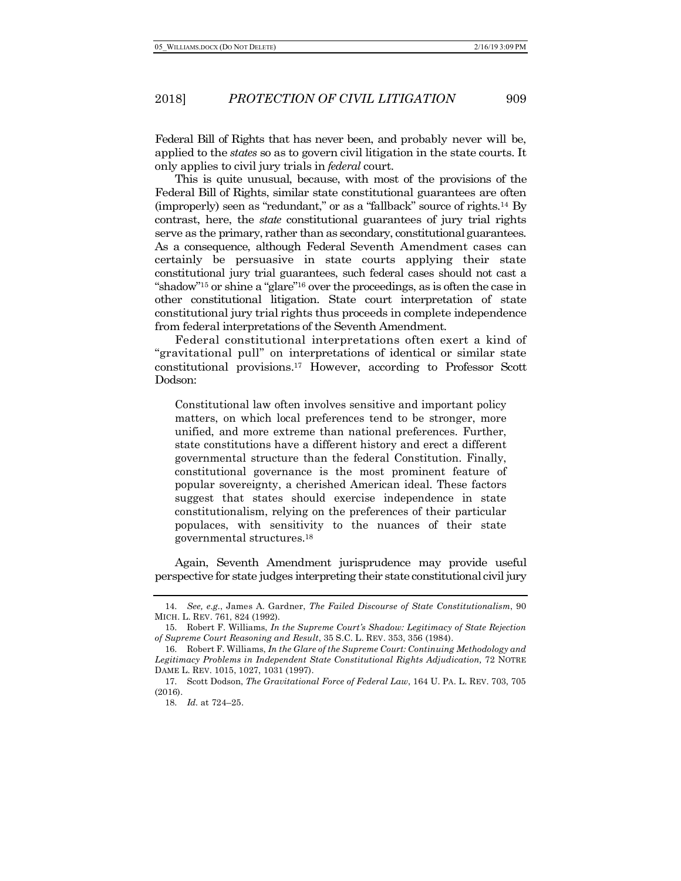Federal Bill of Rights that has never been, and probably never will be, applied to the *states* so as to govern civil litigation in the state courts. It only applies to civil jury trials in *federal* court.

This is quite unusual, because, with most of the provisions of the Federal Bill of Rights, similar state constitutional guarantees are often (improperly) seen as "redundant," or as a "fallback" source of rights.14 By contrast, here, the *state* constitutional guarantees of jury trial rights serve as the primary, rather than as secondary, constitutional guarantees. As a consequence, although Federal Seventh Amendment cases can certainly be persuasive in state courts applying their state constitutional jury trial guarantees, such federal cases should not cast a "shadow"15 or shine a "glare"16 over the proceedings, as is often the case in other constitutional litigation. State court interpretation of state constitutional jury trial rights thus proceeds in complete independence from federal interpretations of the Seventh Amendment.

Federal constitutional interpretations often exert a kind of "gravitational pull" on interpretations of identical or similar state constitutional provisions.17 However, according to Professor Scott Dodson:

Constitutional law often involves sensitive and important policy matters, on which local preferences tend to be stronger, more unified, and more extreme than national preferences. Further, state constitutions have a different history and erect a different governmental structure than the federal Constitution. Finally, constitutional governance is the most prominent feature of popular sovereignty, a cherished American ideal. These factors suggest that states should exercise independence in state constitutionalism, relying on the preferences of their particular populaces, with sensitivity to the nuances of their state governmental structures.18

Again, Seventh Amendment jurisprudence may provide useful perspective for state judges interpreting their state constitutional civil jury

<sup>14.</sup> *See, e.g.*, James A. Gardner, *The Failed Discourse of State Constitutionalism*, 90 MICH. L. REV. 761, 824 (1992).

<sup>15.</sup> Robert F. Williams, *In the Supreme Court's Shadow: Legitimacy of State Rejection of Supreme Court Reasoning and Result*, 35 S.C. L. REV. 353, 356 (1984).

<sup>16.</sup> Robert F. Williams, *In the Glare of the Supreme Court: Continuing Methodology and Legitimacy Problems in Independent State Constitutional Rights Adjudication,* 72 NOTRE DAME L. REV. 1015, 1027, 1031 (1997).

<sup>17.</sup> Scott Dodson, *The Gravitational Force of Federal Law*, 164 U. PA. L. REV. 703, 705 (2016).

<sup>18.</sup> *Id.* at 724–25.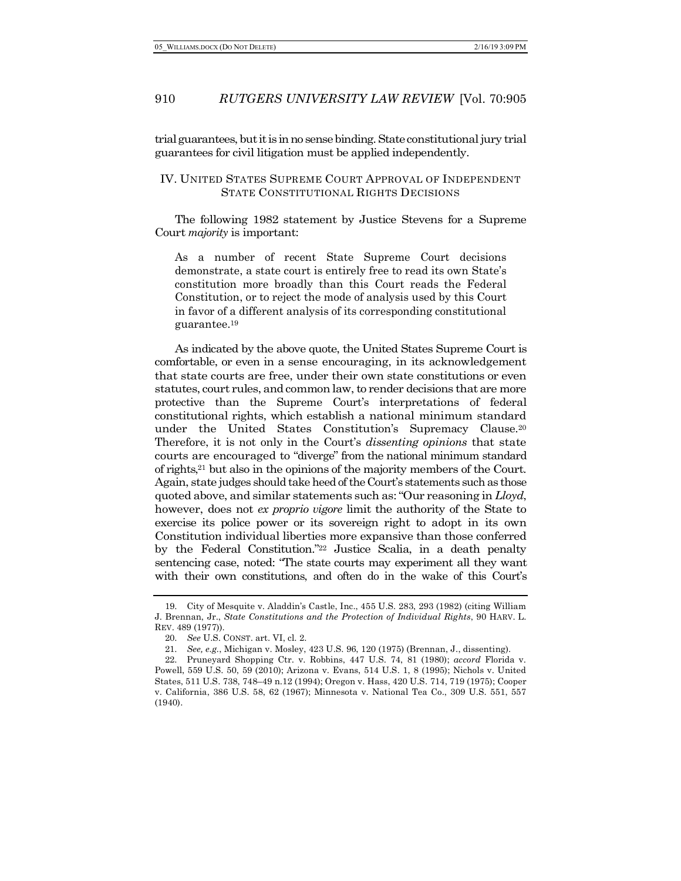trial guarantees, but it is in no sense binding. State constitutional jury trial guarantees for civil litigation must be applied independently.

### IV. UNITED STATES SUPREME COURT APPROVAL OF INDEPENDENT STATE CONSTITUTIONAL RIGHTS DECISIONS

The following 1982 statement by Justice Stevens for a Supreme Court *majority* is important:

As a number of recent State Supreme Court decisions demonstrate, a state court is entirely free to read its own State's constitution more broadly than this Court reads the Federal Constitution, or to reject the mode of analysis used by this Court in favor of a different analysis of its corresponding constitutional guarantee.19

As indicated by the above quote, the United States Supreme Court is comfortable, or even in a sense encouraging, in its acknowledgement that state courts are free, under their own state constitutions or even statutes, court rules, and common law, to render decisions that are more protective than the Supreme Court's interpretations of federal constitutional rights, which establish a national minimum standard under the United States Constitution's Supremacy Clause.20 Therefore, it is not only in the Court's *dissenting opinions* that state courts are encouraged to "diverge" from the national minimum standard of rights,21 but also in the opinions of the majority members of the Court. Again, state judges should take heed of the Court's statements such as those quoted above, and similar statements such as: "Our reasoning in *Lloyd*, however, does not *ex proprio vigore* limit the authority of the State to exercise its police power or its sovereign right to adopt in its own Constitution individual liberties more expansive than those conferred by the Federal Constitution."22 Justice Scalia, in a death penalty sentencing case, noted: "The state courts may experiment all they want with their own constitutions, and often do in the wake of this Court's

<sup>19.</sup> City of Mesquite v. Aladdin's Castle, Inc., 455 U.S. 283, 293 (1982) (citing William J. Brennan, Jr., *State Constitutions and the Protection of Individual Rights*, 90 HARV. L. REV. 489 (1977)).

<sup>20.</sup> *See* U.S. CONST. art. VI, cl. 2.

<sup>21.</sup> *See, e.g.*, Michigan v. Mosley, 423 U.S. 96, 120 (1975) (Brennan, J., dissenting).

<sup>22.</sup> Pruneyard Shopping Ctr. v. Robbins, 447 U.S. 74, 81 (1980); *accord* Florida v. Powell, 559 U.S. 50, 59 (2010); Arizona v. Evans, 514 U.S. 1, 8 (1995); Nichols v. United States, 511 U.S. 738, 748–49 n.12 (1994); Oregon v. Hass, 420 U.S. 714, 719 (1975); Cooper v. California, 386 U.S. 58, 62 (1967); Minnesota v. National Tea Co., 309 U.S. 551, 557 (1940).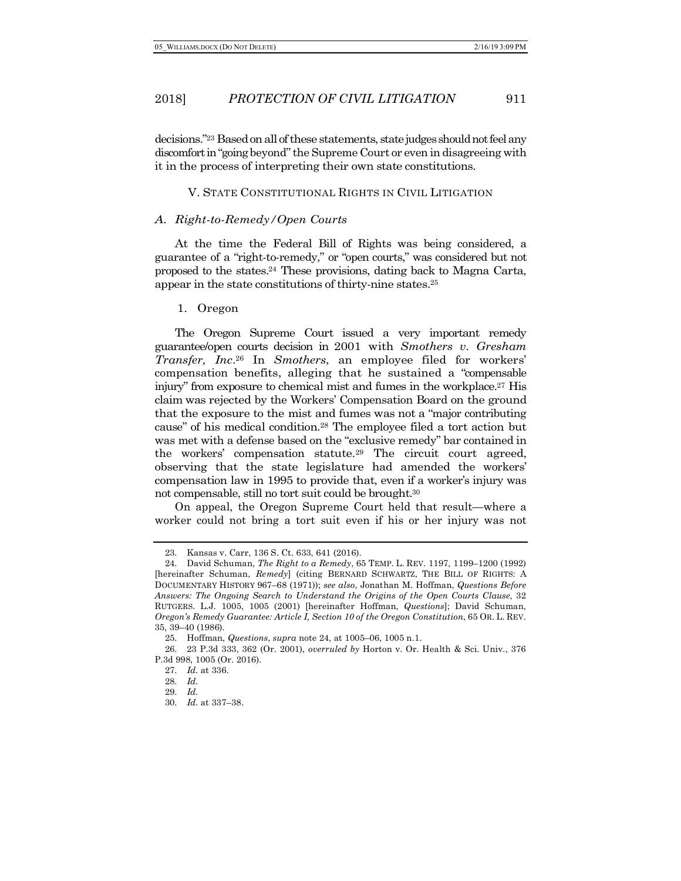decisions."23 Based on all of these statements, state judges should not feel any discomfort in "going beyond" the Supreme Court or even in disagreeing with it in the process of interpreting their own state constitutions.

#### V. STATE CONSTITUTIONAL RIGHTS IN CIVIL LITIGATION

#### *A. Right-to-Remedy/Open Courts*

At the time the Federal Bill of Rights was being considered, a guarantee of a "right-to-remedy," or "open courts," was considered but not proposed to the states.24 These provisions, dating back to Magna Carta, appear in the state constitutions of thirty-nine states.25

#### 1. Oregon

The Oregon Supreme Court issued a very important remedy guarantee/open courts decision in 2001 with *Smothers v. Gresham Transfer, Inc*.26 In *Smothers*, an employee filed for workers' compensation benefits, alleging that he sustained a "compensable injury" from exposure to chemical mist and fumes in the workplace.27 His claim was rejected by the Workers' Compensation Board on the ground that the exposure to the mist and fumes was not a "major contributing cause" of his medical condition.28 The employee filed a tort action but was met with a defense based on the "exclusive remedy" bar contained in the workers' compensation statute.29 The circuit court agreed, observing that the state legislature had amended the workers' compensation law in 1995 to provide that, even if a worker's injury was not compensable, still no tort suit could be brought.30

On appeal, the Oregon Supreme Court held that result—where a worker could not bring a tort suit even if his or her injury was not

<sup>23.</sup> Kansas v. Carr, 136 S. Ct. 633, 641 (2016).

<sup>24.</sup> David Schuman, *The Right to a Remedy*, 65 TEMP. L. REV. 1197, 1199–1200 (1992) [hereinafter Schuman, *Remedy*] (citing BERNARD SCHWARTZ, THE BILL OF RIGHTS: A DOCUMENTARY HISTORY 967–68 (1971)); *see also*, Jonathan M. Hoffman, *Questions Before Answers: The Ongoing Search to Understand the Origins of the Open Courts Clause*, 32 RUTGERS. L.J. 1005, 1005 (2001) [hereinafter Hoffman, *Questions*]; David Schuman, *Oregon's Remedy Guarantee: Article I, Section 10 of the Oregon Constitution*, 65 OR. L. REV. 35, 39–40 (1986).

<sup>25.</sup> Hoffman, *Questions*, *supra* note 24, at 1005–06, 1005 n.1.

<sup>26.</sup> 23 P.3d 333, 362 (Or. 2001), *overruled by* Horton v. Or. Health & Sci. Univ., 376 P.3d 998, 1005 (Or. 2016).

<sup>27.</sup> *Id.* at 336.

<sup>28.</sup> *Id.*

<sup>29.</sup> *Id.*

<sup>30.</sup> *Id.* at 337–38.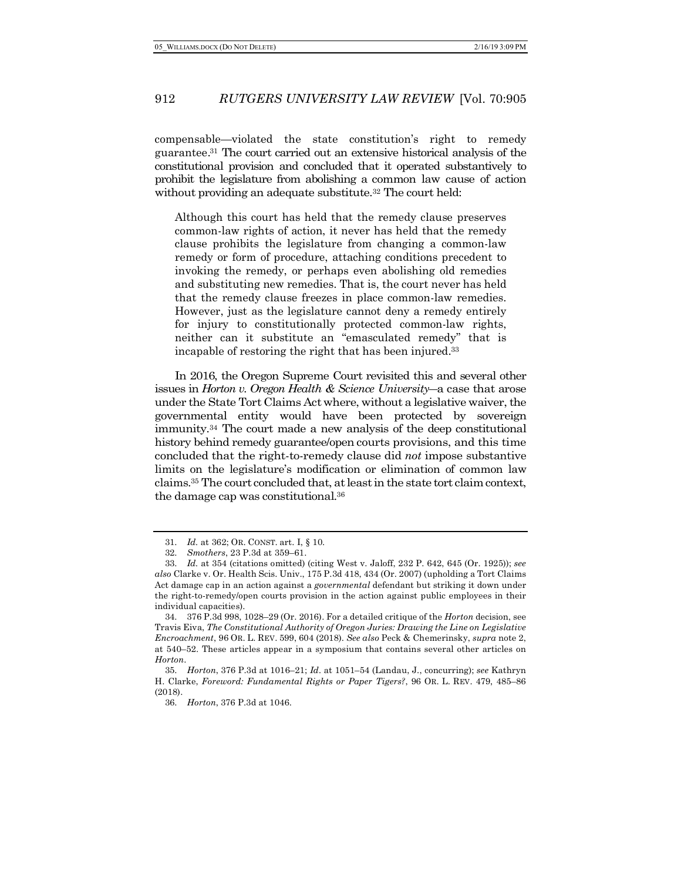compensable—violated the state constitution's right to remedy guarantee. <sup>31</sup> The court carried out an extensive historical analysis of the constitutional provision and concluded that it operated substantively to prohibit the legislature from abolishing a common law cause of action without providing an adequate substitute.<sup>32</sup> The court held:

Although this court has held that the remedy clause preserves common-law rights of action, it never has held that the remedy clause prohibits the legislature from changing a common-law remedy or form of procedure, attaching conditions precedent to invoking the remedy, or perhaps even abolishing old remedies and substituting new remedies. That is, the court never has held that the remedy clause freezes in place common-law remedies. However, just as the legislature cannot deny a remedy entirely for injury to constitutionally protected common-law rights, neither can it substitute an "emasculated remedy" that is incapable of restoring the right that has been injured.33

In 2016, the Oregon Supreme Court revisited this and several other issues in *Horton v. Oregon Health & Science University*―a case that arose under the State Tort Claims Act where, without a legislative waiver, the governmental entity would have been protected by sovereign immunity.34 The court made a new analysis of the deep constitutional history behind remedy guarantee/open courts provisions, and this time concluded that the right-to-remedy clause did *not* impose substantive limits on the legislature's modification or elimination of common law claims.35 The court concluded that, at least in the state tort claim context, the damage cap was constitutional.36

<sup>31.</sup> *Id.* at 362; OR. CONST. art. I, § 10.

<sup>32.</sup> *Smothers*, 23 P.3d at 359–61.

<sup>33.</sup> *Id.* at 354 (citations omitted) (citing West v. Jaloff, 232 P. 642, 645 (Or. 1925)); *see also* Clarke v. Or. Health Scis. Univ., 175 P.3d 418, 434 (Or. 2007) (upholding a Tort Claims Act damage cap in an action against a *governmental* defendant but striking it down under the right-to-remedy/open courts provision in the action against public employees in their individual capacities).

<sup>34.</sup> 376 P.3d 998, 1028–29 (Or. 2016). For a detailed critique of the *Horton* decision, see Travis Eiva, *The Constitutional Authority of Oregon Juries: Drawing the Line on Legislative Encroachment*, 96 OR. L. REV. 599, 604 (2018). *See also* Peck & Chemerinsky, *supra* note 2, at 540–52. These articles appear in a symposium that contains several other articles on *Horton*.

<sup>35.</sup> *Horton*, 376 P.3d at 1016–21; *Id.* at 1051–54 (Landau, J., concurring); *see* Kathryn H. Clarke, *Foreword: Fundamental Rights or Paper Tigers?*, 96 OR. L. REV. 479, 485–86 (2018).

<sup>36.</sup> *Horton*, 376 P.3d at 1046.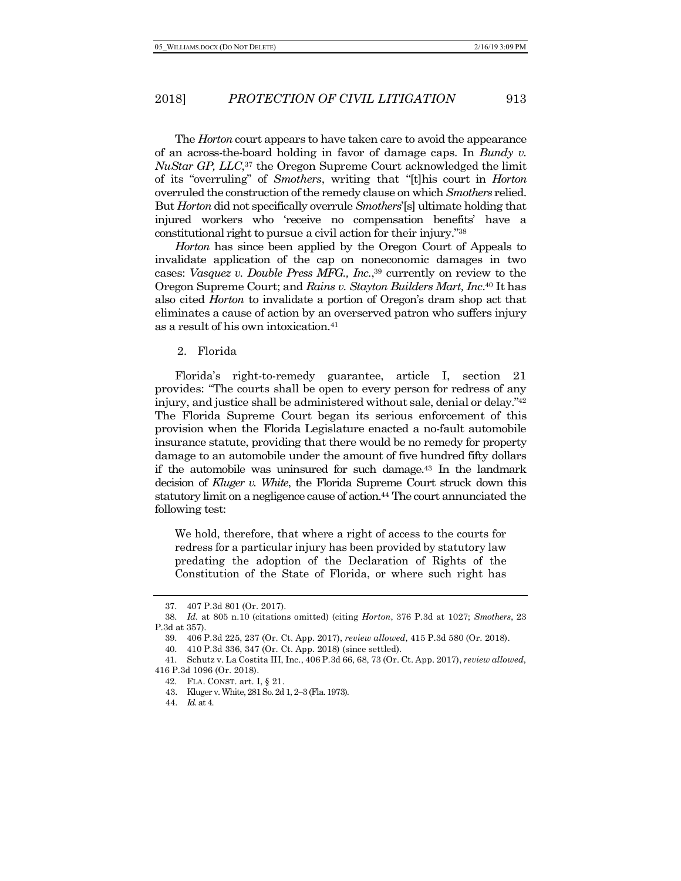The *Horton* court appears to have taken care to avoid the appearance of an across-the-board holding in favor of damage caps. In *Bundy v. NuStar GP, LLC*,37 the Oregon Supreme Court acknowledged the limit of its "overruling" of *Smothers*, writing that "[t]his court in *Horton* overruled the construction of the remedy clause on which *Smothers* relied. But *Horton* did not specifically overrule *Smothers*'[s] ultimate holding that injured workers who 'receive no compensation benefits' have a constitutional right to pursue a civil action for their injury."38

*Horton* has since been applied by the Oregon Court of Appeals to invalidate application of the cap on noneconomic damages in two cases: *Vasquez v. Double Press MFG., Inc.*, <sup>39</sup> currently on review to the Oregon Supreme Court; and *Rains v. Stayton Builders Mart, Inc*. <sup>40</sup> It has also cited *Horton* to invalidate a portion of Oregon's dram shop act that eliminates a cause of action by an overserved patron who suffers injury as a result of his own intoxication.41

#### 2. Florida

Florida's right-to-remedy guarantee, article I, section 21 provides: "The courts shall be open to every person for redress of any injury, and justice shall be administered without sale, denial or delay."42 The Florida Supreme Court began its serious enforcement of this provision when the Florida Legislature enacted a no-fault automobile insurance statute, providing that there would be no remedy for property damage to an automobile under the amount of five hundred fifty dollars if the automobile was uninsured for such damage.43 In the landmark decision of *Kluger v. White*, the Florida Supreme Court struck down this statutory limit on a negligence cause of action.<sup>44</sup> The court annunciated the following test:

We hold, therefore, that where a right of access to the courts for redress for a particular injury has been provided by statutory law predating the adoption of the Declaration of Rights of the Constitution of the State of Florida, or where such right has

<sup>37.</sup> 407 P.3d 801 (Or. 2017).

<sup>38.</sup> *Id.* at 805 n.10 (citations omitted) (citing *Horton*, 376 P.3d at 1027; *Smothers*, 23 P.3d at 357).

<sup>39.</sup> 406 P.3d 225, 237 (Or. Ct. App. 2017), *review allowed*, 415 P.3d 580 (Or. 2018).

<sup>40.</sup> 410 P.3d 336, 347 (Or. Ct. App. 2018) (since settled).

<sup>41.</sup> Schutz v. La Costita III, Inc., 406 P.3d 66, 68, 73 (Or. Ct. App. 2017), *review allowed*, 416 P.3d 1096 (Or. 2018).

<sup>42.</sup> FLA. CONST. art. I, § 21.

<sup>43.</sup> Kluger v. White, 281 So. 2d 1, 2–3 (Fla. 1973).

<sup>44.</sup> *Id.* at 4.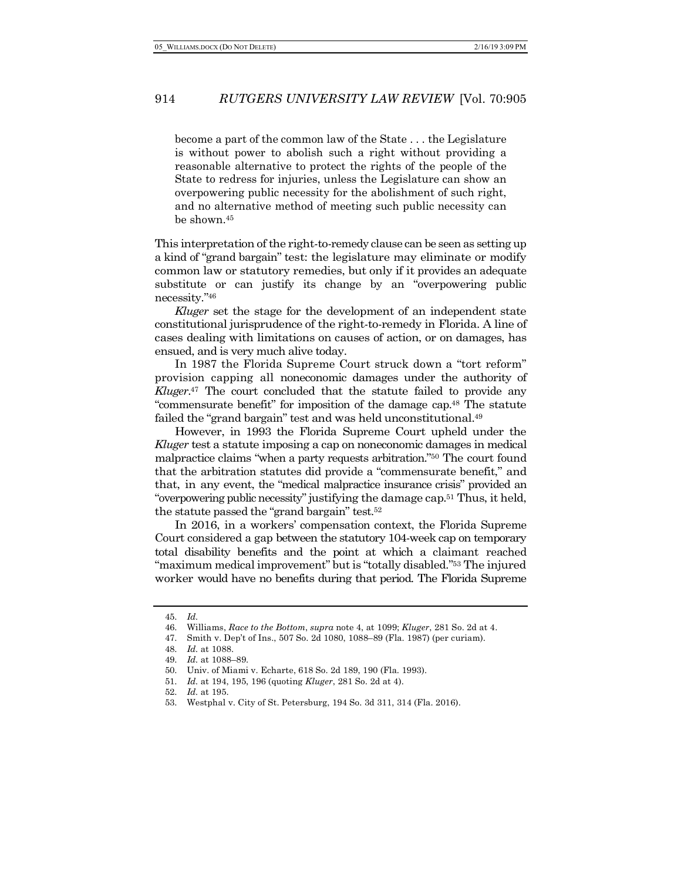become a part of the common law of the State . . . the Legislature is without power to abolish such a right without providing a reasonable alternative to protect the rights of the people of the State to redress for injuries, unless the Legislature can show an overpowering public necessity for the abolishment of such right, and no alternative method of meeting such public necessity can be shown.45

This interpretation of the right-to-remedy clause can be seen as setting up a kind of "grand bargain" test: the legislature may eliminate or modify common law or statutory remedies, but only if it provides an adequate substitute or can justify its change by an "overpowering public necessity."46

*Kluger* set the stage for the development of an independent state constitutional jurisprudence of the right-to-remedy in Florida. A line of cases dealing with limitations on causes of action, or on damages, has ensued, and is very much alive today.

In 1987 the Florida Supreme Court struck down a "tort reform" provision capping all noneconomic damages under the authority of *Kluger*. <sup>47</sup> The court concluded that the statute failed to provide any "commensurate benefit" for imposition of the damage cap.48 The statute failed the "grand bargain" test and was held unconstitutional.49

However, in 1993 the Florida Supreme Court upheld under the *Kluger* test a statute imposing a cap on noneconomic damages in medical malpractice claims "when a party requests arbitration."50 The court found that the arbitration statutes did provide a "commensurate benefit," and that, in any event, the "medical malpractice insurance crisis" provided an "overpowering public necessity" justifying the damage cap.51 Thus, it held, the statute passed the "grand bargain" test.52

In 2016, in a workers' compensation context, the Florida Supreme Court considered a gap between the statutory 104-week cap on temporary total disability benefits and the point at which a claimant reached "maximum medical improvement" but is "totally disabled."53 The injured worker would have no benefits during that period. The Florida Supreme

<sup>45.</sup> *Id.*

<sup>46.</sup> Williams, *Race to the Bottom*, *supra* note 4, at 1099; *Kluger*, 281 So. 2d at 4.

<sup>47.</sup> Smith v. Dep't of Ins., 507 So. 2d 1080, 1088–89 (Fla. 1987) (per curiam).

<sup>48.</sup> *Id.* at 1088.

<sup>49.</sup> *Id.* at 1088–89.

<sup>50.</sup> Univ. of Miami v. Echarte, 618 So. 2d 189, 190 (Fla. 1993).

<sup>51.</sup> *Id.* at 194, 195, 196 (quoting *Kluger*, 281 So. 2d at 4).

<sup>52.</sup> *Id.* at 195.

<sup>53.</sup> Westphal v. City of St. Petersburg, 194 So. 3d 311, 314 (Fla. 2016).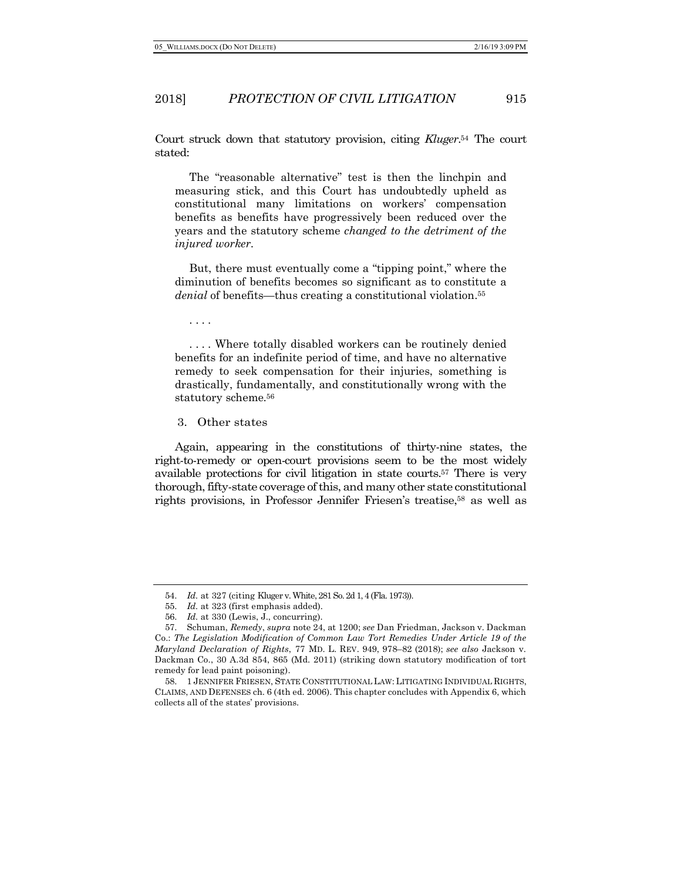Court struck down that statutory provision, citing *Kluger*. <sup>54</sup> The court stated:

The "reasonable alternative" test is then the linchpin and measuring stick, and this Court has undoubtedly upheld as constitutional many limitations on workers' compensation benefits as benefits have progressively been reduced over the years and the statutory scheme *changed to the detriment of the injured worker*.

But, there must eventually come a "tipping point," where the diminution of benefits becomes so significant as to constitute a *denial* of benefits—thus creating a constitutional violation.55

. . . .

. . . . Where totally disabled workers can be routinely denied benefits for an indefinite period of time, and have no alternative remedy to seek compensation for their injuries, something is drastically, fundamentally, and constitutionally wrong with the statutory scheme.56

3. Other states

Again, appearing in the constitutions of thirty-nine states, the right-to-remedy or open-court provisions seem to be the most widely available protections for civil litigation in state courts.57 There is very thorough, fifty-state coverage of this, and many other state constitutional rights provisions, in Professor Jennifer Friesen's treatise,58 as well as

<sup>54.</sup> *Id.* at 327 (citing Kluger v. White, 281 So. 2d 1, 4 (Fla. 1973)).

<sup>55.</sup> *Id.* at 323 (first emphasis added).

<sup>56.</sup> *Id.* at 330 (Lewis, J., concurring).

<sup>57.</sup> Schuman, *Remedy*, *supra* note 24, at 1200; *see* Dan Friedman, Jackson v. Dackman Co.: *The Legislation Modification of Common Law Tort Remedies Under Article 19 of the Maryland Declaration of Rights*, 77 MD. L. REV. 949, 978–82 (2018); *see also* Jackson v. Dackman Co., 30 A.3d 854, 865 (Md. 2011) (striking down statutory modification of tort remedy for lead paint poisoning).

<sup>58.</sup> 1 JENNIFER FRIESEN, STATE CONSTITUTIONAL LAW: LITIGATING INDIVIDUAL RIGHTS, CLAIMS, AND DEFENSES ch. 6 (4th ed. 2006). This chapter concludes with Appendix 6, which collects all of the states' provisions.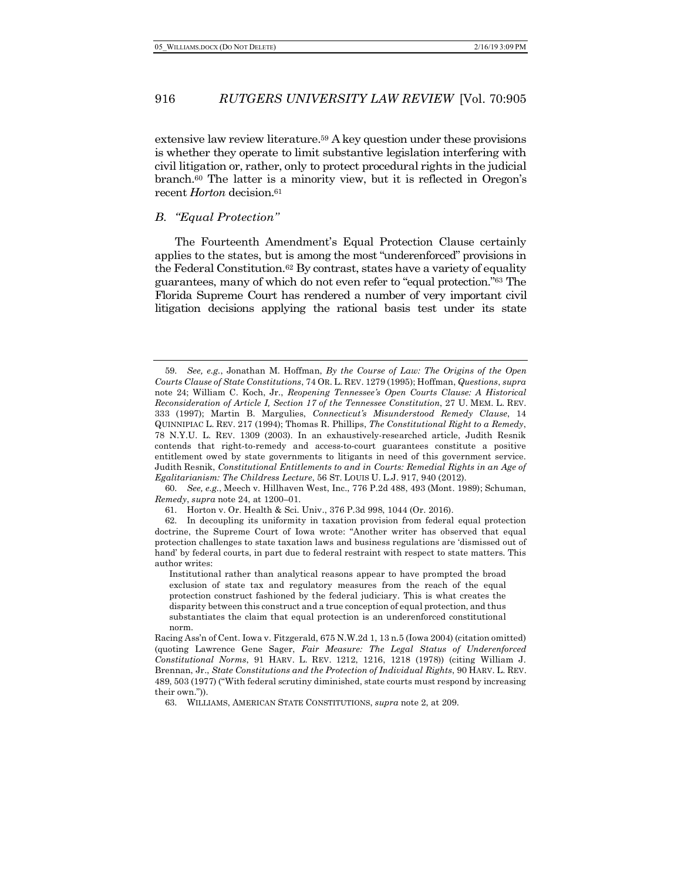extensive law review literature.59 A key question under these provisions is whether they operate to limit substantive legislation interfering with civil litigation or, rather, only to protect procedural rights in the judicial branch.60 The latter is a minority view, but it is reflected in Oregon's recent *Horton* decision.<sup>61</sup>

#### *B. "Equal Protection''*

The Fourteenth Amendment's Equal Protection Clause certainly applies to the states, but is among the most "underenforced" provisions in the Federal Constitution.62 By contrast, states have a variety of equality guarantees, many of which do not even refer to "equal protection."63 The Florida Supreme Court has rendered a number of very important civil litigation decisions applying the rational basis test under its state

60. *See, e.g.*, Meech v. Hillhaven West, Inc., 776 P.2d 488, 493 (Mont. 1989); Schuman, *Remedy*, *supra* note 24, at 1200–01.

61. Horton v. Or. Health & Sci. Univ., 376 P.3d 998, 1044 (Or. 2016).

Institutional rather than analytical reasons appear to have prompted the broad exclusion of state tax and regulatory measures from the reach of the equal protection construct fashioned by the federal judiciary. This is what creates the disparity between this construct and a true conception of equal protection, and thus substantiates the claim that equal protection is an underenforced constitutional norm.

63. WILLIAMS, AMERICAN STATE CONSTITUTIONS, *supra* note 2, at 209.

<sup>59.</sup> *See, e.g.*, Jonathan M. Hoffman, *By the Course of Law: The Origins of the Open Courts Clause of State Constitutions*, 74 OR. L. REV. 1279 (1995); Hoffman, *Questions*, *supra* note 24; William C. Koch, Jr., *Reopening Tennessee's Open Courts Clause: A Historical Reconsideration of Article I, Section 17 of the Tennessee Constitution*, 27 U. MEM. L. REV. 333 (1997); Martin B. Margulies, *Connecticut's Misunderstood Remedy Clause*, 14 QUINNIPIAC L. REV. 217 (1994); Thomas R. Phillips, *The Constitutional Right to a Remedy*, 78 N.Y.U. L. REV. 1309 (2003). In an exhaustively-researched article, Judith Resnik contends that right-to-remedy and access-to-court guarantees constitute a positive entitlement owed by state governments to litigants in need of this government service. Judith Resnik, *Constitutional Entitlements to and in Courts: Remedial Rights in an Age of Egalitarianism: The Childress Lecture*, 56 ST. LOUIS U. L.J. 917, 940 (2012).

<sup>62.</sup> In decoupling its uniformity in taxation provision from federal equal protection doctrine, the Supreme Court of Iowa wrote: "Another writer has observed that equal protection challenges to state taxation laws and business regulations are 'dismissed out of hand' by federal courts, in part due to federal restraint with respect to state matters. This author writes:

Racing Ass'n of Cent. Iowa v. Fitzgerald, 675 N.W.2d 1, 13 n.5 (Iowa 2004) (citation omitted) (quoting Lawrence Gene Sager, *Fair Measure: The Legal Status of Underenforced Constitutional Norms*, 91 HARV. L. REV. 1212, 1216, 1218 (1978)) (citing William J. Brennan, Jr., *State Constitutions and the Protection of Individual Rights*, 90 HARV. L. REV. 489, 503 (1977) ("With federal scrutiny diminished, state courts must respond by increasing their own.")).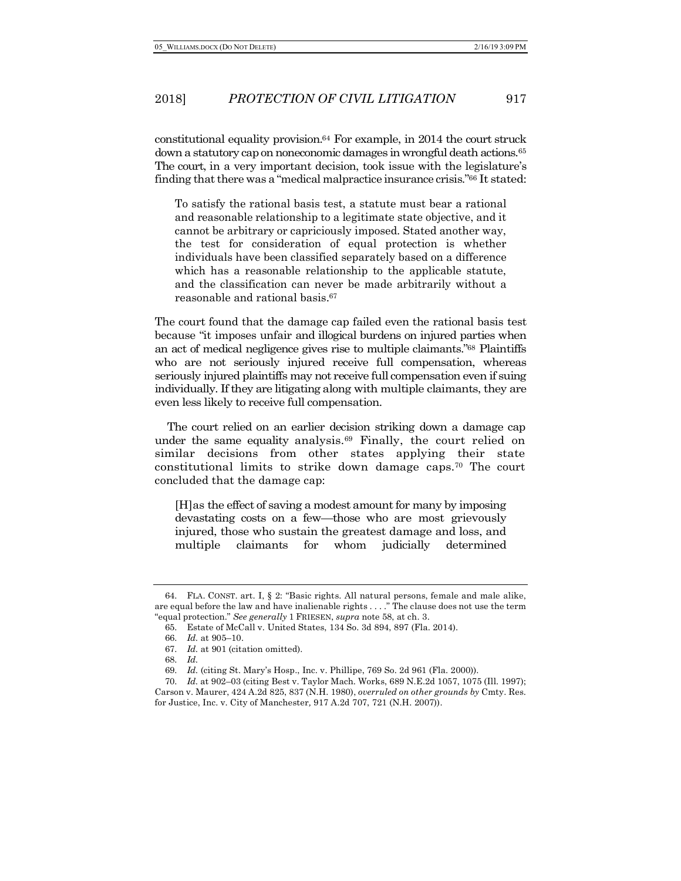constitutional equality provision.64 For example, in 2014 the court struck down a statutory cap on noneconomic damages in wrongful death actions.<sup>65</sup> The court, in a very important decision, took issue with the legislature's finding that there was a "medical malpractice insurance crisis."66 It stated:

To satisfy the rational basis test, a statute must bear a rational and reasonable relationship to a legitimate state objective, and it cannot be arbitrary or capriciously imposed. Stated another way, the test for consideration of equal protection is whether individuals have been classified separately based on a difference which has a reasonable relationship to the applicable statute, and the classification can never be made arbitrarily without a reasonable and rational basis.67

The court found that the damage cap failed even the rational basis test because "it imposes unfair and illogical burdens on injured parties when an act of medical negligence gives rise to multiple claimants."68 Plaintiffs who are not seriously injured receive full compensation, whereas seriously injured plaintiffs may not receive full compensation even if suing individually. If they are litigating along with multiple claimants, they are even less likely to receive full compensation.

The court relied on an earlier decision striking down a damage cap under the same equality analysis.<sup>69</sup> Finally, the court relied on similar decisions from other states applying their state constitutional limits to strike down damage caps.70 The court concluded that the damage cap:

[H]as the effect of saving a modest amount for many by imposing devastating costs on a few—those who are most grievously injured, those who sustain the greatest damage and loss, and multiple claimants for whom judicially determined

<sup>64.</sup> FLA. CONST. art. I, § 2: "Basic rights. All natural persons, female and male alike, are equal before the law and have inalienable rights . . . ." The clause does not use the term "equal protection." *See generally* 1 FRIESEN, *supra* note 58, at ch. 3.

<sup>65.</sup> Estate of McCall v. United States, 134 So. 3d 894, 897 (Fla. 2014).

<sup>66.</sup> *Id.* at 905–10.

<sup>67.</sup> *Id.* at 901 (citation omitted).

<sup>68.</sup> *Id.*

<sup>69.</sup> *Id.* (citing St. Mary's Hosp., Inc. v. Phillipe, 769 So. 2d 961 (Fla. 2000)).

<sup>70.</sup> *Id.* at 902–03 (citing Best v. Taylor Mach. Works, 689 N.E.2d 1057, 1075 (Ill. 1997); Carson v. Maurer, 424 A.2d 825, 837 (N.H. 1980), *overruled on other grounds by* Cmty. Res. for Justice, Inc. v. City of Manchester*,* 917 A.2d 707, 721 (N.H. 2007)).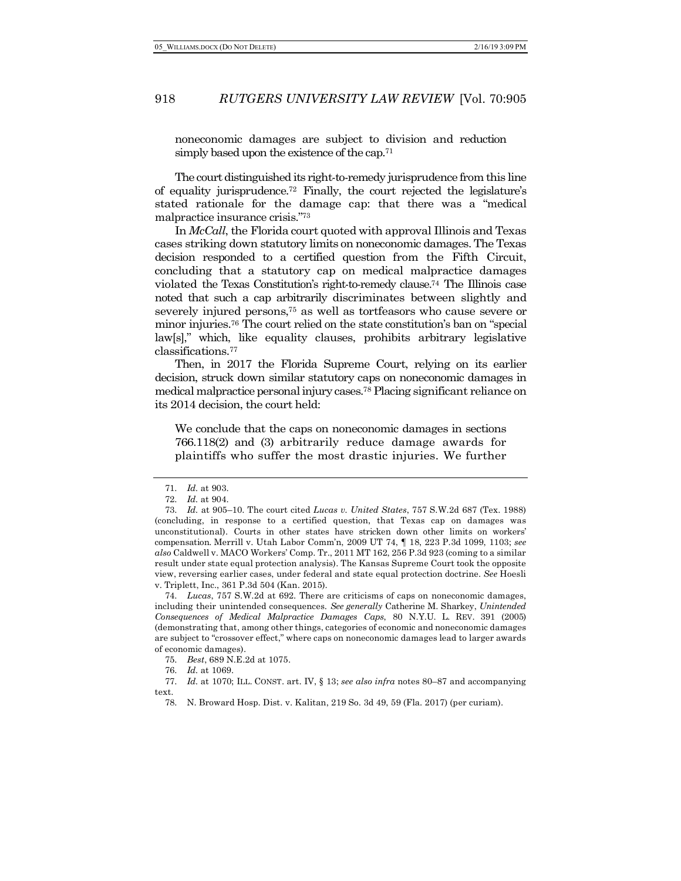noneconomic damages are subject to division and reduction simply based upon the existence of the cap.<sup>71</sup>

The court distinguished its right-to-remedy jurisprudence from this line of equality jurisprudence.72 Finally, the court rejected the legislature's stated rationale for the damage cap: that there was a "medical malpractice insurance crisis."73

In *McCall*, the Florida court quoted with approval Illinois and Texas cases striking down statutory limits on noneconomic damages. The Texas decision responded to a certified question from the Fifth Circuit, concluding that a statutory cap on medical malpractice damages violated the Texas Constitution's right-to-remedy clause.74 The Illinois case noted that such a cap arbitrarily discriminates between slightly and severely injured persons,<sup>75</sup> as well as tortfeasors who cause severe or minor injuries.76 The court relied on the state constitution's ban on "special law[s]," which, like equality clauses, prohibits arbitrary legislative classifications.77

Then, in 2017 the Florida Supreme Court, relying on its earlier decision, struck down similar statutory caps on noneconomic damages in medical malpractice personal injury cases.78 Placing significant reliance on its 2014 decision, the court held:

We conclude that the caps on noneconomic damages in sections 766.118(2) and (3) arbitrarily reduce damage awards for plaintiffs who suffer the most drastic injuries. We further

<sup>71.</sup> *Id.* at 903.

<sup>72.</sup> *Id.* at 904.

<sup>73.</sup> *Id.* at 905–10. The court cited *Lucas v. United States*, 757 S.W.2d 687 (Tex. 1988) (concluding, in response to a certified question, that Texas cap on damages was unconstitutional). Courts in other states have stricken down other limits on workers' compensation. Merrill v. Utah Labor Comm'n, 2009 UT 74, ¶ 18, 223 P.3d 1099, 1103; *see also* Caldwell v. MACO Workers' Comp. Tr., 2011 MT 162, 256 P.3d 923 (coming to a similar result under state equal protection analysis). The Kansas Supreme Court took the opposite view, reversing earlier cases, under federal and state equal protection doctrine. *See* Hoesli v. Triplett, Inc., 361 P.3d 504 (Kan. 2015).

<sup>74.</sup> *Lucas*, 757 S.W.2d at 692. There are criticisms of caps on noneconomic damages, including their unintended consequences. *See generally* Catherine M. Sharkey, *Unintended Consequences of Medical Malpractice Damages Caps*, 80 N.Y.U. L. REV. 391 (2005) (demonstrating that, among other things, categories of economic and noneconomic damages are subject to "crossover effect," where caps on noneconomic damages lead to larger awards of economic damages).

<sup>75.</sup> *Best*, 689 N.E.2d at 1075.

<sup>76.</sup> *Id.* at 1069.

<sup>77.</sup> *Id.* at 1070; ILL. CONST. art. IV, § 13; *see also infra* notes 80–87 and accompanying

text.

<sup>78.</sup> N. Broward Hosp. Dist. v. Kalitan, 219 So. 3d 49, 59 (Fla. 2017) (per curiam).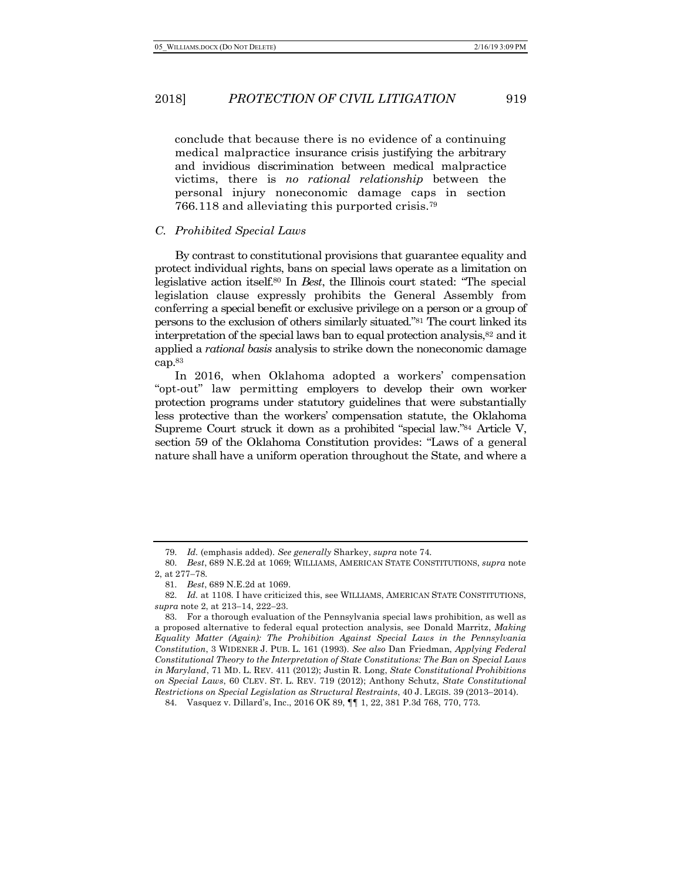conclude that because there is no evidence of a continuing medical malpractice insurance crisis justifying the arbitrary and invidious discrimination between medical malpractice victims, there is *no rational relationship* between the personal injury noneconomic damage caps in section 766.118 and alleviating this purported crisis.79

#### *C. Prohibited Special Laws*

By contrast to constitutional provisions that guarantee equality and protect individual rights, bans on special laws operate as a limitation on legislative action itself.80 In *Best*, the Illinois court stated: "The special legislation clause expressly prohibits the General Assembly from conferring a special benefit or exclusive privilege on a person or a group of persons to the exclusion of others similarly situated."81 The court linked its interpretation of the special laws ban to equal protection analysis,82 and it applied a *rational basis* analysis to strike down the noneconomic damage cap.83

In 2016, when Oklahoma adopted a workers' compensation "opt-out" law permitting employers to develop their own worker protection programs under statutory guidelines that were substantially less protective than the workers' compensation statute, the Oklahoma Supreme Court struck it down as a prohibited "special law."84 Article V, section 59 of the Oklahoma Constitution provides: "Laws of a general nature shall have a uniform operation throughout the State, and where a

<sup>79.</sup> *Id.* (emphasis added). *See generally* Sharkey, *supra* note 74.

<sup>80.</sup> *Best*, 689 N.E.2d at 1069; WILLIAMS, AMERICAN STATE CONSTITUTIONS, *supra* note 2, at 277-78.

<sup>81.</sup> *Best*, 689 N.E.2d at 1069.

<sup>82.</sup> *Id.* at 1108. I have criticized this, see WILLIAMS, AMERICAN STATE CONSTITUTIONS, *supra* note 2, at 213-14, 222-23.

<sup>83.</sup> For a thorough evaluation of the Pennsylvania special laws prohibition, as well as a proposed alternative to federal equal protection analysis, see Donald Marritz, *Making Equality Matter (Again): The Prohibition Against Special Laws in the Pennsylvania Constitution*, 3 WIDENER J. PUB. L. 161 (1993). *See also* Dan Friedman, *Applying Federal Constitutional Theory to the Interpretation of State Constitutions: The Ban on Special Laws in Maryland*, 71 MD. L. REV. 411 (2012); Justin R. Long, *State Constitutional Prohibitions on Special Laws*, 60 CLEV. ST. L. REV. 719 (2012); Anthony Schutz, *State Constitutional Restrictions on Special Legislation as Structural Restraints*, 40 J. LEGIS. 39 (2013-2014).

<sup>84.</sup> Vasquez v. Dillard's, Inc., 2016 OK 89, ¶¶ 1, 22, 381 P.3d 768, 770, 773.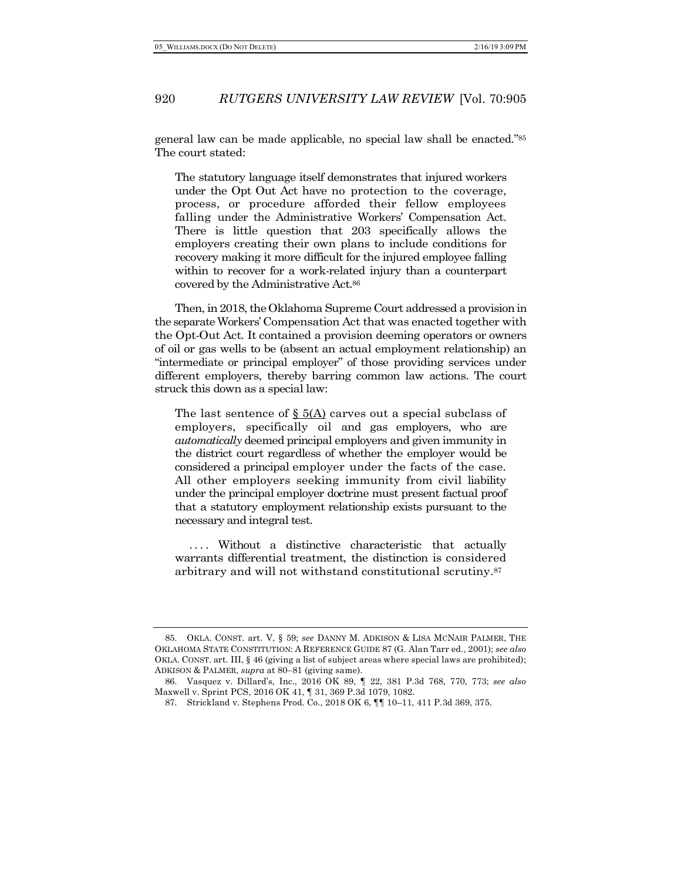general law can be made applicable, no special law shall be enacted."85 The court stated:

The statutory language itself demonstrates that injured workers under the Opt Out Act have no protection to the coverage, process, or procedure afforded their fellow employees falling under the Administrative Workers' Compensation Act. There is little question that 203 specifically allows the employers creating their own plans to include conditions for recovery making it more difficult for the injured employee falling within to recover for a work-related injury than a counterpart covered by the Administrative Act.86

Then, in 2018, the Oklahoma Supreme Court addressed a provision in the separate Workers' Compensation Act that was enacted together with the Opt-Out Act. It contained a provision deeming operators or owners of oil or gas wells to be (absent an actual employment relationship) an "intermediate or principal employer" of those providing services under different employers, thereby barring common law actions. The court struck this down as a special law:

The last sentence of § 5(A) carves out a special subclass of employers, specifically oil and gas employers, who are *automatically* deemed principal employers and given immunity in the district court regardless of whether the employer would be considered a principal employer under the facts of the case. All other employers seeking immunity from civil liability under the principal employer doctrine must present factual proof that a statutory employment relationship exists pursuant to the necessary and integral test.

.... Without a distinctive characteristic that actually warrants differential treatment, the distinction is considered arbitrary and will not withstand constitutional scrutiny.87

<sup>85.</sup> OKLA. CONST. art. V, § 59; *see* DANNY M. ADKISON & LISA MCNAIR PALMER, THE OKLAHOMA STATE CONSTITUTION: A REFERENCE GUIDE 87 (G. Alan Tarr ed., 2001); *see also* OKLA. CONST. art. III, § 46 (giving a list of subject areas where special laws are prohibited); ADKISON & PALMER, *supra* at 80-81 (giving same).

<sup>86.</sup> Vasquez v. Dillard's, Inc., 2016 OK 89, ¶ 22, 381 P.3d 768, 770, 773; *see also* Maxwell v. Sprint PCS, 2016 OK 41, ¶ 31, 369 P.3d 1079, 1082.

<sup>87.</sup> Strickland v. Stephens Prod. Co., 2018 OK 6, ¶¶ 10–11, 411 P.3d 369, 375.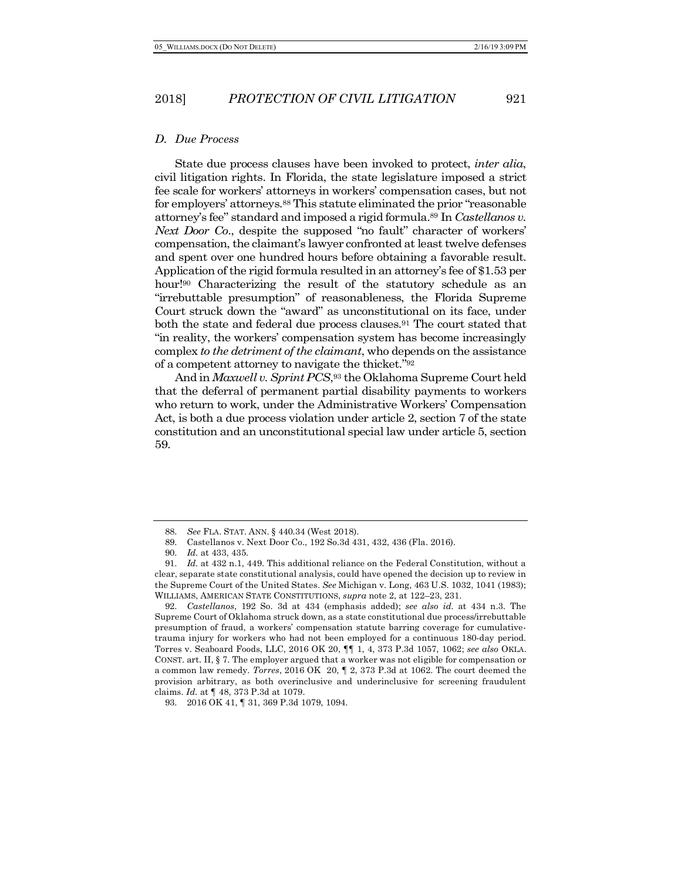#### *D. Due Process*

State due process clauses have been invoked to protect, *inter alia*, civil litigation rights. In Florida, the state legislature imposed a strict fee scale for workers' attorneys in workers' compensation cases, but not for employers' attorneys.88 This statute eliminated the prior "reasonable attorney's fee" standard and imposed a rigid formula.89 In *Castellanos v. Next Door Co.*, despite the supposed "no fault" character of workers' compensation, the claimant's lawyer confronted at least twelve defenses and spent over one hundred hours before obtaining a favorable result. Application of the rigid formula resulted in an attorney's fee of \$1.53 per hour!<sup>90</sup> Characterizing the result of the statutory schedule as an "irrebuttable presumption" of reasonableness, the Florida Supreme Court struck down the "award" as unconstitutional on its face, under both the state and federal due process clauses.<sup>91</sup> The court stated that "in reality, the workers' compensation system has become increasingly complex *to the detriment of the claimant*, who depends on the assistance of a competent attorney to navigate the thicket."92

And in *Maxwell v. Sprint PCS*,93 the Oklahoma Supreme Court held that the deferral of permanent partial disability payments to workers who return to work, under the Administrative Workers' Compensation Act, is both a due process violation under article 2, section 7 of the state constitution and an unconstitutional special law under article 5, section 59.

92. *Castellanos*, 192 So. 3d at 434 (emphasis added); *see also id.* at 434 n.3. The Supreme Court of Oklahoma struck down, as a state constitutional due process/irrebuttable presumption of fraud, a workers' compensation statute barring coverage for cumulativetrauma injury for workers who had not been employed for a continuous 180-day period. Torres v. Seaboard Foods, LLC, 2016 OK 20, ¶¶ 1, 4, 373 P.3d 1057, 1062; *see also* OKLA. CONST. art. II, § 7. The employer argued that a worker was not eligible for compensation or a common law remedy. *Torres*, 2016 OK 20, ¶ 2, 373 P.3d at 1062. The court deemed the provision arbitrary, as both overinclusive and underinclusive for screening fraudulent claims. *Id.* at ¶ 48, 373 P.3d at 1079.

<sup>88.</sup> *See* FLA. STAT. ANN. § 440.34 (West 2018).

<sup>89.</sup> Castellanos v. Next Door Co., 192 So.3d 431, 432, 436 (Fla. 2016).

<sup>90.</sup> *Id.* at 433, 435.

<sup>91.</sup> *Id.* at 432 n.1, 449. This additional reliance on the Federal Constitution, without a clear, separate state constitutional analysis, could have opened the decision up to review in the Supreme Court of the United States. *See* Michigan v. Long, 463 U.S. 1032, 1041 (1983); WILLIAMS, AMERICAN STATE CONSTITUTIONS, *supra* note 2, at 122–23, 231.

<sup>93.</sup> 2016 OK 41, ¶ 31, 369 P.3d 1079, 1094.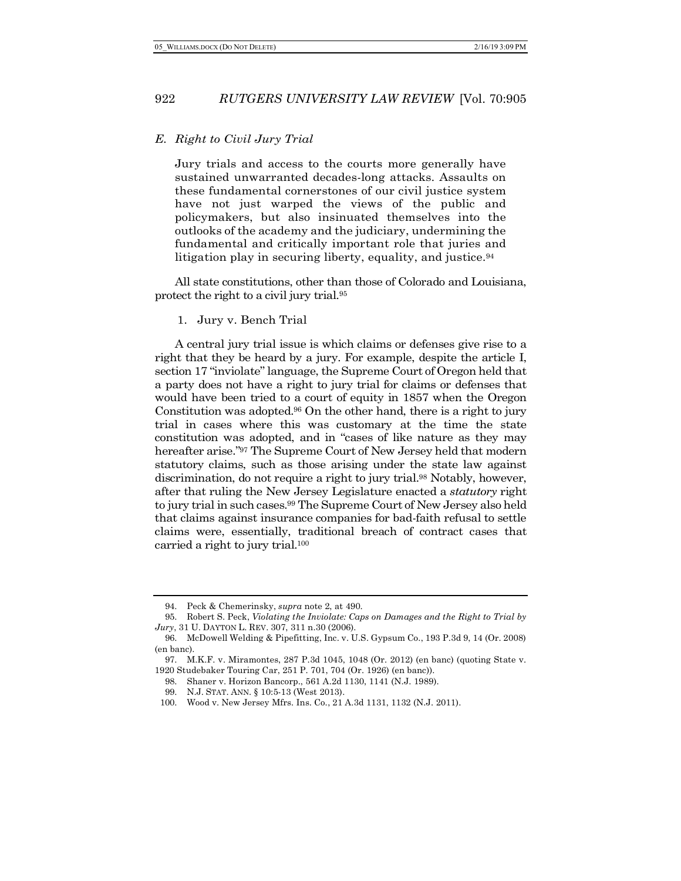#### *E. Right to Civil Jury Trial*

Jury trials and access to the courts more generally have sustained unwarranted decades-long attacks. Assaults on these fundamental cornerstones of our civil justice system have not just warped the views of the public and policymakers, but also insinuated themselves into the outlooks of the academy and the judiciary, undermining the fundamental and critically important role that juries and litigation play in securing liberty, equality, and justice.<sup>94</sup>

All state constitutions, other than those of Colorado and Louisiana, protect the right to a civil jury trial.95

#### 1. Jury v. Bench Trial

A central jury trial issue is which claims or defenses give rise to a right that they be heard by a jury. For example, despite the article I, section 17 "inviolate" language, the Supreme Court of Oregon held that a party does not have a right to jury trial for claims or defenses that would have been tried to a court of equity in 1857 when the Oregon Constitution was adopted.96 On the other hand, there is a right to jury trial in cases where this was customary at the time the state constitution was adopted, and in "cases of like nature as they may hereafter arise."97 The Supreme Court of New Jersey held that modern statutory claims, such as those arising under the state law against discrimination, do not require a right to jury trial.98 Notably, however, after that ruling the New Jersey Legislature enacted a *statutory* right to jury trial in such cases.99 The Supreme Court of New Jersey also held that claims against insurance companies for bad-faith refusal to settle claims were, essentially, traditional breach of contract cases that carried a right to jury trial.100

<sup>94.</sup> Peck & Chemerinsky, *supra* note 2, at 490.

<sup>95.</sup> Robert S. Peck, *Violating the Inviolate: Caps on Damages and the Right to Trial by Jury*, 31 U. DAYTON L. REV. 307, 311 n.30 (2006).

<sup>96.</sup> McDowell Welding & Pipefitting, Inc. v. U.S. Gypsum Co., 193 P.3d 9, 14 (Or. 2008) (en banc).

<sup>97.</sup> M.K.F. v. Miramontes, 287 P.3d 1045, 1048 (Or. 2012) (en banc) (quoting State v. 1920 Studebaker Touring Car, 251 P. 701, 704 (Or. 1926) (en banc)).

<sup>98.</sup> Shaner v. Horizon Bancorp., 561 A.2d 1130, 1141 (N.J. 1989).

<sup>99.</sup> N.J. STAT. ANN. § 10:5-13 (West 2013).

<sup>100.</sup> Wood v. New Jersey Mfrs. Ins. Co., 21 A.3d 1131, 1132 (N.J. 2011).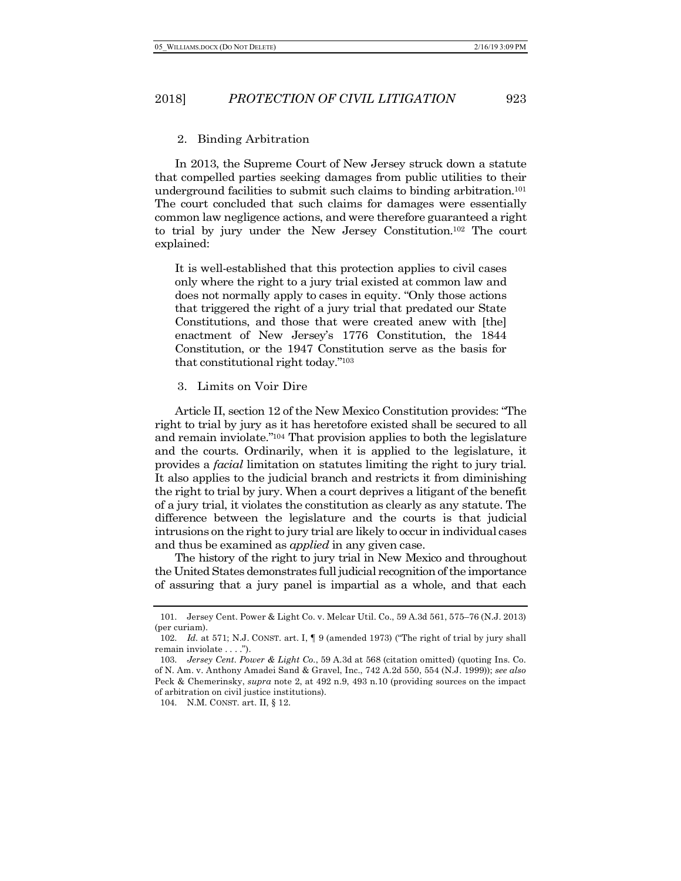#### 2. Binding Arbitration

In 2013, the Supreme Court of New Jersey struck down a statute that compelled parties seeking damages from public utilities to their underground facilities to submit such claims to binding arbitration.101 The court concluded that such claims for damages were essentially common law negligence actions, and were therefore guaranteed a right to trial by jury under the New Jersey Constitution.102 The court explained:

It is well-established that this protection applies to civil cases only where the right to a jury trial existed at common law and does not normally apply to cases in equity. "Only those actions that triggered the right of a jury trial that predated our State Constitutions, and those that were created anew with [the] enactment of New Jersey's 1776 Constitution, the 1844 Constitution, or the 1947 Constitution serve as the basis for that constitutional right today."103

#### 3. Limits on Voir Dire

Article II, section 12 of the New Mexico Constitution provides: "The right to trial by jury as it has heretofore existed shall be secured to all and remain inviolate."104 That provision applies to both the legislature and the courts. Ordinarily, when it is applied to the legislature, it provides a *facial* limitation on statutes limiting the right to jury trial. It also applies to the judicial branch and restricts it from diminishing the right to trial by jury. When a court deprives a litigant of the benefit of a jury trial, it violates the constitution as clearly as any statute. The difference between the legislature and the courts is that judicial intrusions on the right to jury trial are likely to occur in individual cases and thus be examined as *applied* in any given case.

The history of the right to jury trial in New Mexico and throughout the United States demonstrates full judicial recognition of the importance of assuring that a jury panel is impartial as a whole, and that each

104. N.M. CONST. art. II, § 12.

<sup>101.</sup> Jersey Cent. Power & Light Co. v. Melcar Util. Co., 59 A.3d 561, 575–76 (N.J. 2013) (per curiam).

<sup>102.</sup> *Id.* at 571; N.J. CONST. art. I, ¶ 9 (amended 1973) ("The right of trial by jury shall remain inviolate . . . .").

<sup>103.</sup> *Jersey Cent. Power & Light Co.*, 59 A.3d at 568 (citation omitted) (quoting Ins. Co. of N. Am. v. Anthony Amadei Sand & Gravel, Inc., 742 A.2d 550, 554 (N.J. 1999)); *see also* Peck & Chemerinsky, *supra* note 2, at 492 n.9, 493 n.10 (providing sources on the impact of arbitration on civil justice institutions).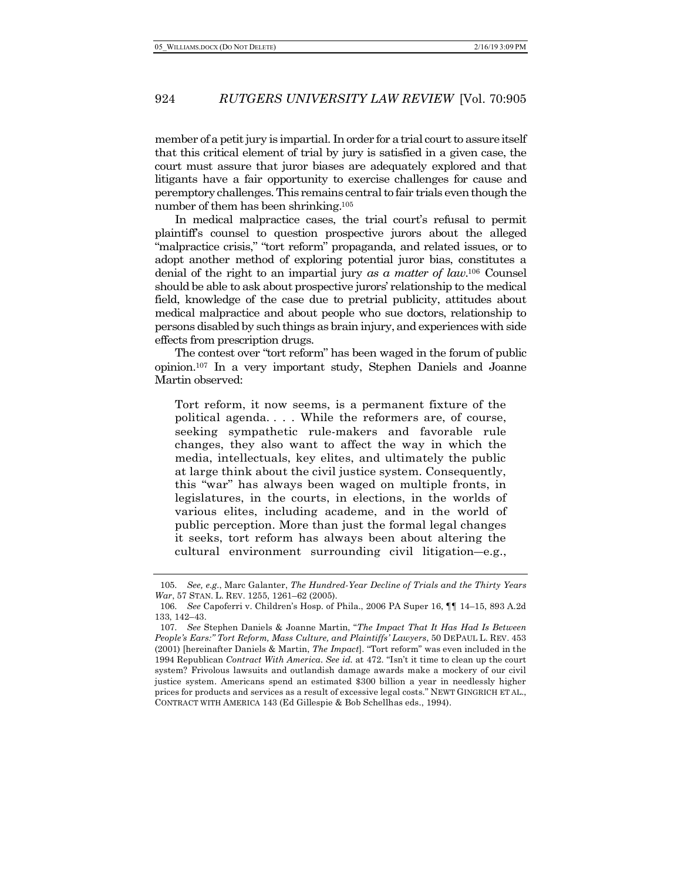member of a petit jury is impartial. In order for a trial court to assure itself that this critical element of trial by jury is satisfied in a given case, the court must assure that juror biases are adequately explored and that litigants have a fair opportunity to exercise challenges for cause and peremptory challenges. This remains central to fair trials even though the number of them has been shrinking.105

In medical malpractice cases, the trial court's refusal to permit plaintiff's counsel to question prospective jurors about the alleged "malpractice crisis," "tort reform" propaganda, and related issues, or to adopt another method of exploring potential juror bias, constitutes a denial of the right to an impartial jury *as a matter of law*. <sup>106</sup> Counsel should be able to ask about prospective jurors' relationship to the medical field, knowledge of the case due to pretrial publicity, attitudes about medical malpractice and about people who sue doctors, relationship to persons disabled by such things as brain injury, and experiences with side effects from prescription drugs.

The contest over "tort reform" has been waged in the forum of public opinion.107 In a very important study, Stephen Daniels and Joanne Martin observed:

Tort reform, it now seems, is a permanent fixture of the political agenda. . . . While the reformers are, of course, seeking sympathetic rule-makers and favorable rule changes, they also want to affect the way in which the media, intellectuals, key elites, and ultimately the public at large think about the civil justice system. Consequently, this "war" has always been waged on multiple fronts, in legislatures, in the courts, in elections, in the worlds of various elites, including academe, and in the world of public perception. More than just the formal legal changes it seeks, tort reform has always been about altering the cultural environment surrounding civil litigation―e.g.,

<sup>105.</sup> *See, e.g.*, Marc Galanter, *The Hundred-Year Decline of Trials and the Thirty Years War*, 57 STAN. L. REV. 1255, 1261–62 (2005).

<sup>106.</sup> *See* Capoferri v. Children's Hosp. of Phila., 2006 PA Super 16, ¶¶ 14–15, 893 A.2d 133, 142–43.

<sup>107.</sup> *See* Stephen Daniels & Joanne Martin, "*The Impact That It Has Had Is Between People's Ears:" Tort Reform, Mass Culture, and Plaintiffs' Lawyers*, 50 DEPAUL L. REV. 453 (2001) [hereinafter Daniels & Martin, *The Impact*]. "Tort reform" was even included in the 1994 Republican *Contract With America*. *See id.* at 472. "Isn't it time to clean up the court system? Frivolous lawsuits and outlandish damage awards make a mockery of our civil justice system. Americans spend an estimated \$300 billion a year in needlessly higher prices for products and services as a result of excessive legal costs." NEWT GINGRICH ET AL., CONTRACT WITH AMERICA 143 (Ed Gillespie & Bob Schellhas eds., 1994).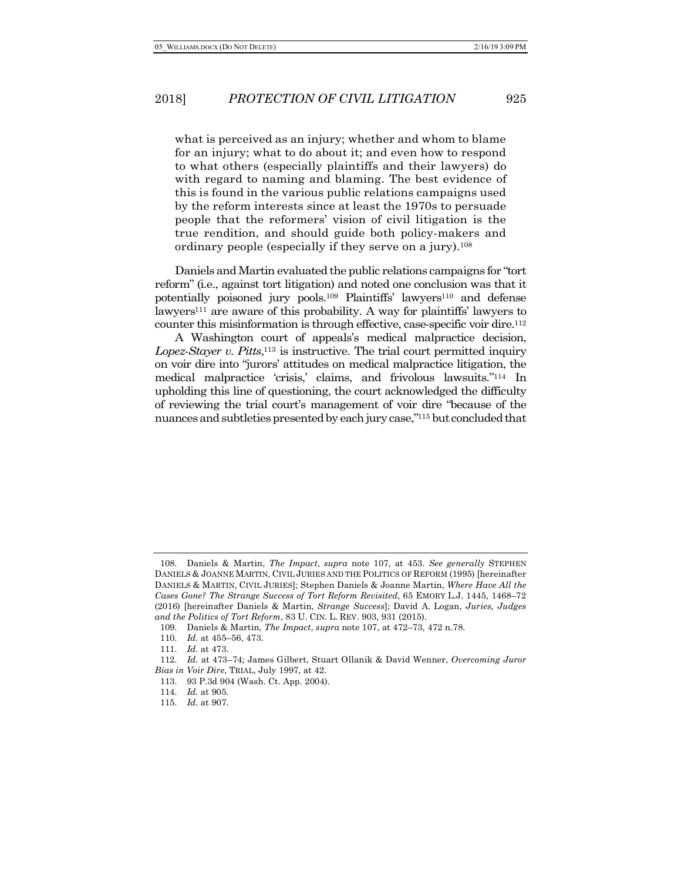what is perceived as an injury; whether and whom to blame for an injury; what to do about it; and even how to respond to what others (especially plaintiffs and their lawyers) do with regard to naming and blaming. The best evidence of this is found in the various public relations campaigns used by the reform interests since at least the 1970s to persuade people that the reformers' vision of civil litigation is the true rendition, and should guide both policy-makers and ordinary people (especially if they serve on a jury).108

Daniels and Martin evaluated the public relations campaigns for "tort reform" (i.e., against tort litigation) and noted one conclusion was that it potentially poisoned jury pools.<sup>109</sup> Plaintiffs' lawyers<sup>110</sup> and defense lawyers<sup>111</sup> are aware of this probability. A way for plaintiffs' lawyers to counter this misinformation is through effective, case-specific voir dire.<sup>112</sup>

A Washington court of appeals's medical malpractice decision, Lopez-Stayer v. Pitts,<sup>113</sup> is instructive. The trial court permitted inquiry on voir dire into "jurors' attitudes on medical malpractice litigation, the medical malpractice 'crisis,' claims, and frivolous lawsuits."114 In upholding this line of questioning, the court acknowledged the difficulty of reviewing the trial court's management of voir dire "because of the nuances and subtleties presented by each jury case,"115 but concluded that

<sup>108.</sup> Daniels & Martin, *The Impact*, *supra* note 107, at 453. *See generally* STEPHEN DANIELS & JOANNE MARTIN, CIVIL JURIES AND THE POLITICS OF REFORM (1995) [hereinafter DANIELS & MARTIN, CIVIL JURIES]; Stephen Daniels & Joanne Martin, *Where Have All the Cases Gone? The Strange Success of Tort Reform Revisited*, 65 EMORY L.J. 1445, 1468–72 (2016) [hereinafter Daniels & Martin, *Strange Success*]; David A. Logan, *Juries, Judges and the Politics of Tort Reform*, 83 U. CIN. L. REV. 903, 931 (2015).

<sup>109.</sup> Daniels & Martin, *The Impact*, *supra* note 107, at 472–73, 472 n.78.

<sup>110.</sup> *Id.* at 455–56, 473.

<sup>111.</sup> *Id.* at 473.

<sup>112.</sup> *Id.* at 473–74; James Gilbert, Stuart Ollanik & David Wenner, *Overcoming Juror Bias in Voir Dire*, TRIAL, July 1997, at 42.

<sup>113.</sup> 93 P.3d 904 (Wash. Ct. App. 2004).

<sup>114.</sup> *Id.* at 905.

<sup>115.</sup> *Id.* at 907.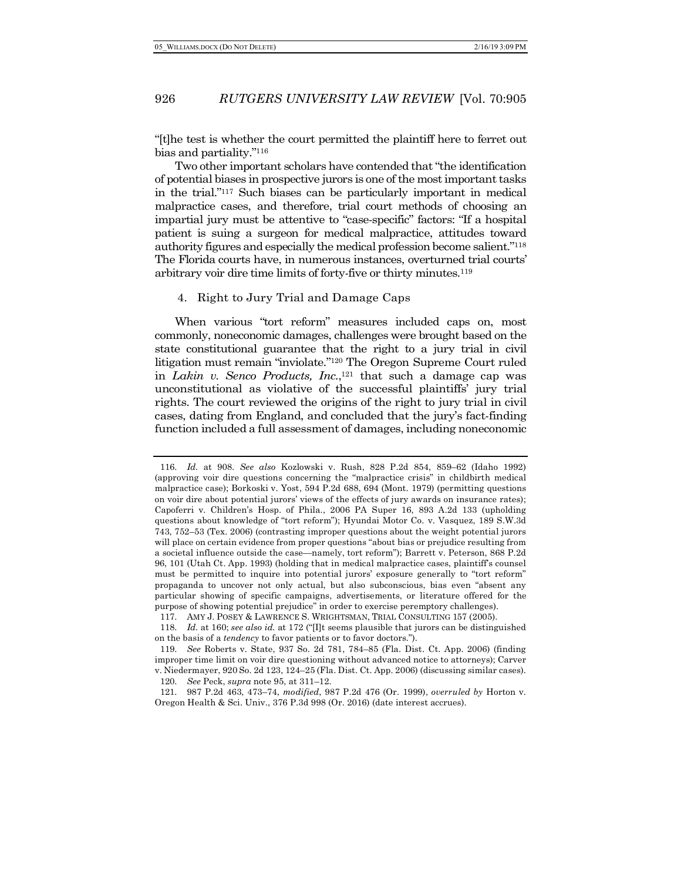"[t]he test is whether the court permitted the plaintiff here to ferret out bias and partiality."116

Two other important scholars have contended that "the identification of potential biases in prospective jurors is one of the most important tasks in the trial."117 Such biases can be particularly important in medical malpractice cases, and therefore, trial court methods of choosing an impartial jury must be attentive to "case-specific" factors: "If a hospital patient is suing a surgeon for medical malpractice, attitudes toward authority figures and especially the medical profession become salient."118 The Florida courts have, in numerous instances, overturned trial courts' arbitrary voir dire time limits of forty-five or thirty minutes.119

#### 4. Right to Jury Trial and Damage Caps

When various "tort reform" measures included caps on, most commonly, noneconomic damages, challenges were brought based on the state constitutional guarantee that the right to a jury trial in civil litigation must remain "inviolate."120 The Oregon Supreme Court ruled in *Lakin v. Senco Products, Inc.*,<sup>121</sup> that such a damage cap was unconstitutional as violative of the successful plaintiffs' jury trial rights. The court reviewed the origins of the right to jury trial in civil cases, dating from England, and concluded that the jury's fact-finding function included a full assessment of damages, including noneconomic

<sup>116.</sup> *Id.* at 908. *See also* Kozlowski v. Rush, 828 P.2d 854, 859–62 (Idaho 1992) (approving voir dire questions concerning the "malpractice crisis" in childbirth medical malpractice case); Borkoski v. Yost, 594 P.2d 688, 694 (Mont. 1979) (permitting questions on voir dire about potential jurors' views of the effects of jury awards on insurance rates); Capoferri v. Children's Hosp. of Phila., 2006 PA Super 16, 893 A.2d 133 (upholding questions about knowledge of "tort reform"); Hyundai Motor Co. v. Vasquez, 189 S.W.3d 743, 752–53 (Tex. 2006) (contrasting improper questions about the weight potential jurors will place on certain evidence from proper questions "about bias or prejudice resulting from a societal influence outside the case—namely, tort reform"); Barrett v. Peterson, 868 P.2d 96, 101 (Utah Ct. App. 1993) (holding that in medical malpractice cases, plaintiff's counsel must be permitted to inquire into potential jurors' exposure generally to "tort reform" propaganda to uncover not only actual, but also subconscious, bias even "absent any particular showing of specific campaigns, advertisements, or literature offered for the purpose of showing potential prejudice" in order to exercise peremptory challenges). 117. AMY J. POSEY & LAWRENCE S. WRIGHTSMAN, TRIAL CONSULTING 157 (2005).

<sup>118.</sup> *Id.* at 160; *see also id.* at 172 ("[I]t seems plausible that jurors can be distinguished

on the basis of a *tendency* to favor patients or to favor doctors.").

<sup>119.</sup> *See* Roberts v. State, 937 So. 2d 781, 784–85 (Fla. Dist. Ct. App. 2006) (finding improper time limit on voir dire questioning without advanced notice to attorneys); Carver v. Niedermayer, 920 So. 2d 123, 124–25 (Fla. Dist. Ct. App. 2006) (discussing similar cases).

<sup>120.</sup> *See* Peck, *supra* note 95, at 311–12.

<sup>121.</sup> 987 P.2d 463, 473–74, *modified*, 987 P.2d 476 (Or. 1999), *overruled by* Horton v. Oregon Health & Sci. Univ., 376 P.3d 998 (Or. 2016) (date interest accrues).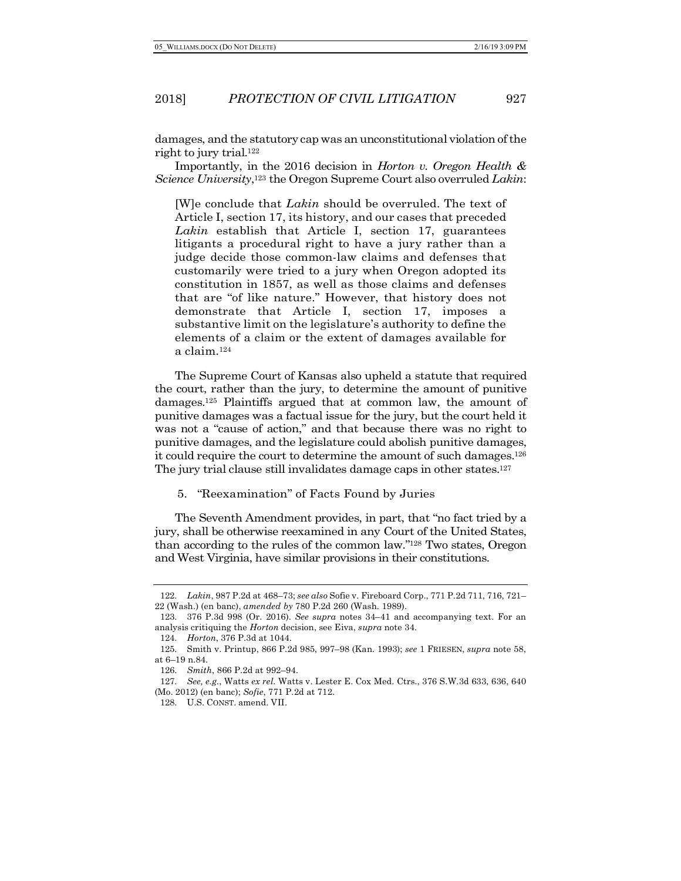damages, and the statutory cap was an unconstitutional violation of the right to jury trial.122

Importantly, in the 2016 decision in *Horton v. Oregon Health & Science University*,123 the Oregon Supreme Court also overruled *Lakin*:

[W]e conclude that *Lakin* should be overruled. The text of Article I, section 17, its history, and our cases that preceded *Lakin* establish that Article I, section 17, guarantees litigants a procedural right to have a jury rather than a judge decide those common-law claims and defenses that customarily were tried to a jury when Oregon adopted its constitution in 1857, as well as those claims and defenses that are "of like nature." However, that history does not demonstrate that Article I, section 17, imposes a substantive limit on the legislature's authority to define the elements of a claim or the extent of damages available for a claim.124

The Supreme Court of Kansas also upheld a statute that required the court, rather than the jury, to determine the amount of punitive damages.125 Plaintiffs argued that at common law, the amount of punitive damages was a factual issue for the jury, but the court held it was not a "cause of action," and that because there was no right to punitive damages, and the legislature could abolish punitive damages, it could require the court to determine the amount of such damages.126 The jury trial clause still invalidates damage caps in other states.127

5. "Reexamination" of Facts Found by Juries

The Seventh Amendment provides, in part, that "no fact tried by a jury, shall be otherwise reexamined in any Court of the United States, than according to the rules of the common law."128 Two states, Oregon and West Virginia, have similar provisions in their constitutions.

<sup>122.</sup> *Lakin*, 987 P.2d at 468–73; *see also* Sofie v. Fireboard Corp., 771 P.2d 711, 716, 721– 22 (Wash.) (en banc), *amended by* 780 P.2d 260 (Wash. 1989).

<sup>123.</sup> 376 P.3d 998 (Or. 2016). *See supra* notes 34–41 and accompanying text. For an analysis critiquing the *Horton* decision, see Eiva, *supra* note 34.

<sup>124.</sup> *Horton*, 376 P.3d at 1044.

<sup>125.</sup> Smith v. Printup, 866 P.2d 985, 997–98 (Kan. 1993); *see* 1 FRIESEN, *supra* note 58, at 6–19 n.84.

<sup>126.</sup> *Smith*, 866 P.2d at 992–94.

<sup>127.</sup> *See, e.g.*, Watts *ex rel.* Watts v. Lester E. Cox Med. Ctrs., 376 S.W.3d 633, 636, 640 (Mo. 2012) (en banc); *Sofie*, 771 P.2d at 712.

<sup>128.</sup> U.S. CONST. amend. VII.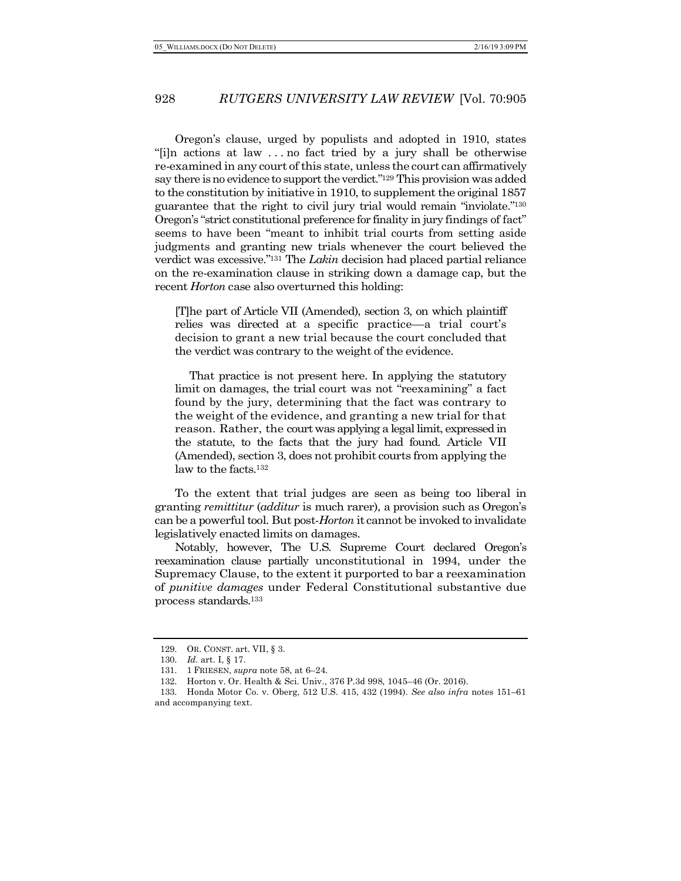Oregon's clause, urged by populists and adopted in 1910, states "[i]n actions at law . . . no fact tried by a jury shall be otherwise re-examined in any court of this state, unless the court can affirmatively say there is no evidence to support the verdict."129 This provision was added to the constitution by initiative in 1910, to supplement the original 1857 guarantee that the right to civil jury trial would remain "inviolate."130 Oregon's "strict constitutional preference for finality in jury findings of fact" seems to have been "meant to inhibit trial courts from setting aside judgments and granting new trials whenever the court believed the verdict was excessive."131 The *Lakin* decision had placed partial reliance on the re-examination clause in striking down a damage cap, but the recent *Horton* case also overturned this holding:

[T]he part of Article VII (Amended), section 3, on which plaintiff relies was directed at a specific practice—a trial court's decision to grant a new trial because the court concluded that the verdict was contrary to the weight of the evidence.

That practice is not present here. In applying the statutory limit on damages, the trial court was not "reexamining" a fact found by the jury, determining that the fact was contrary to the weight of the evidence, and granting a new trial for that reason. Rather, the court was applying a legal limit, expressed in the statute, to the facts that the jury had found. Article VII (Amended), section 3, does not prohibit courts from applying the law to the facts.132

To the extent that trial judges are seen as being too liberal in granting *remittitur* (*additur* is much rarer), a provision such as Oregon's can be a powerful tool. But post-*Horton* it cannot be invoked to invalidate legislatively enacted limits on damages.

Notably, however, The U.S. Supreme Court declared Oregon's reexamination clause partially unconstitutional in 1994, under the Supremacy Clause, to the extent it purported to bar a reexamination of *punitive damages* under Federal Constitutional substantive due process standards.133

<sup>129.</sup> OR. CONST. art. VII, § 3.

<sup>130.</sup> *Id.* art. I, § 17.

<sup>131.</sup> 1 FRIESEN, *supra* note 58, at 6–24.

<sup>132.</sup> Horton v. Or. Health & Sci. Univ., 376 P.3d 998, 1045–46 (Or. 2016).

<sup>133.</sup> Honda Motor Co. v. Oberg, 512 U.S. 415, 432 (1994). *See also infra* notes 151–61 and accompanying text.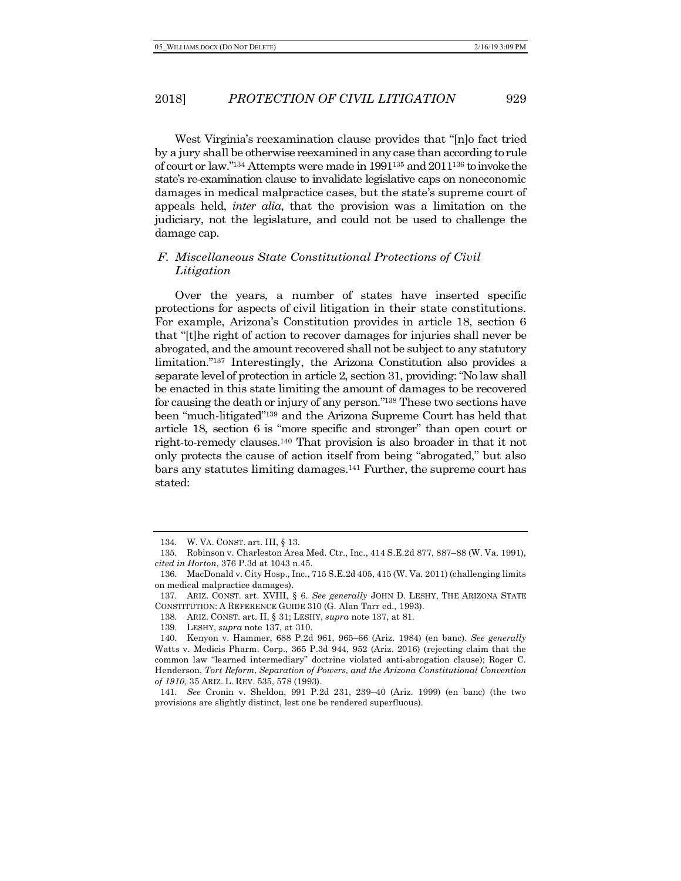West Virginia's reexamination clause provides that "[n]o fact tried by a jury shall be otherwise reexamined in any case than according to rule of court or law."134 Attempts were made in 1991135 and 2011136 to invoke the state's re-examination clause to invalidate legislative caps on noneconomic damages in medical malpractice cases, but the state's supreme court of appeals held, *inter alia*, that the provision was a limitation on the judiciary, not the legislature, and could not be used to challenge the damage cap.

### *F. Miscellaneous State Constitutional Protections of Civil Litigation*

Over the years, a number of states have inserted specific protections for aspects of civil litigation in their state constitutions. For example, Arizona's Constitution provides in article 18, section 6 that "[t]he right of action to recover damages for injuries shall never be abrogated, and the amount recovered shall not be subject to any statutory limitation."137 Interestingly, the Arizona Constitution also provides a separate level of protection in article 2, section 31, providing: "No law shall be enacted in this state limiting the amount of damages to be recovered for causing the death or injury of any person."138 These two sections have been "much-litigated"139 and the Arizona Supreme Court has held that article 18, section 6 is "more specific and stronger" than open court or right-to-remedy clauses.140 That provision is also broader in that it not only protects the cause of action itself from being "abrogated," but also bars any statutes limiting damages.141 Further, the supreme court has stated:

<sup>134.</sup> W. VA. CONST. art. III, § 13.

<sup>135.</sup> Robinson v. Charleston Area Med. Ctr., Inc., 414 S.E.2d 877, 887–88 (W. Va. 1991), *cited in Horton*, 376 P.3d at 1043 n.45.

<sup>136.</sup> MacDonald v. City Hosp., Inc., 715 S.E.2d 405, 415 (W. Va. 2011) (challenging limits on medical malpractice damages).

<sup>137.</sup> ARIZ. CONST. art. XVIII, § 6. *See generally* JOHN D. LESHY, THE ARIZONA STATE CONSTITUTION: A REFERENCE GUIDE 310 (G. Alan Tarr ed., 1993).

<sup>138.</sup> ARIZ. CONST. art. II, § 31; LESHY, *supra* note 137, at 81.

<sup>139.</sup> LESHY, *supra* note 137, at 310.

<sup>140.</sup> Kenyon v. Hammer, 688 P.2d 961, 965–66 (Ariz. 1984) (en banc). *See generally*  Watts v. Medicis Pharm. Corp., 365 P.3d 944, 952 (Ariz. 2016) (rejecting claim that the common law "learned intermediary" doctrine violated anti-abrogation clause); Roger C. Henderson, *Tort Reform*, *Separation of Powers, and the Arizona Constitutional Convention of 1910*, 35 ARIZ. L. REV. 535, 578 (1993).

<sup>141.</sup> *See* Cronin v. Sheldon, 991 P.2d 231, 239–40 (Ariz. 1999) (en banc) (the two provisions are slightly distinct, lest one be rendered superfluous).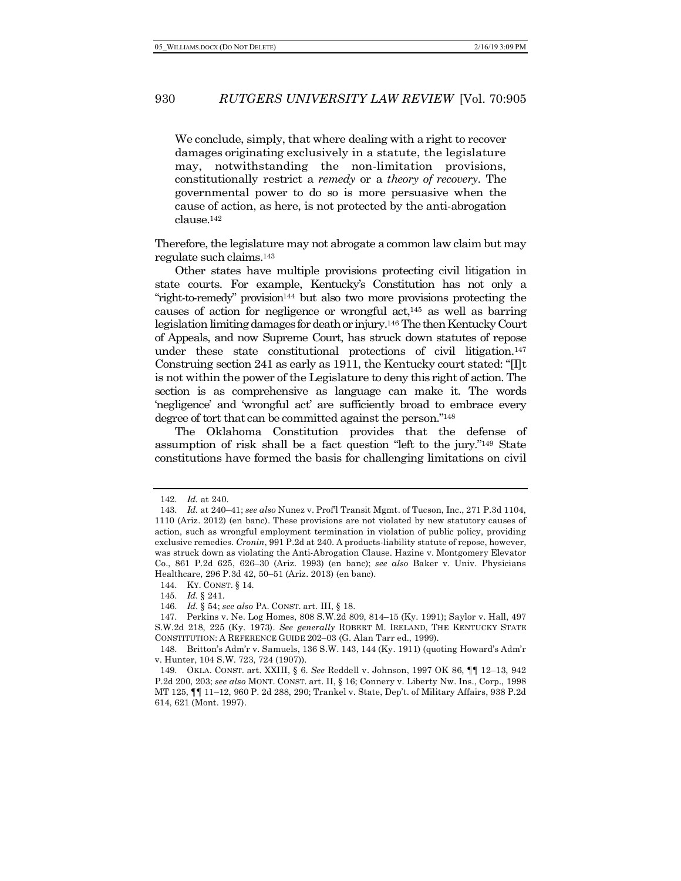We conclude, simply, that where dealing with a right to recover damages originating exclusively in a statute, the legislature may, notwithstanding the non-limitation provisions, constitutionally restrict a *remedy* or a *theory of recovery*. The governmental power to do so is more persuasive when the cause of action, as here, is not protected by the anti-abrogation clause.142

Therefore, the legislature may not abrogate a common law claim but may regulate such claims.143

Other states have multiple provisions protecting civil litigation in state courts. For example, Kentucky's Constitution has not only a "right-to-remedy" provision<sup>144</sup> but also two more provisions protecting the causes of action for negligence or wrongful act, $145$  as well as barring legislation limiting damages for death or injury.146 The then Kentucky Court of Appeals, and now Supreme Court, has struck down statutes of repose under these state constitutional protections of civil litigation.147 Construing section 241 as early as 1911, the Kentucky court stated: "[I]t is not within the power of the Legislature to deny this right of action. The section is as comprehensive as language can make it. The words 'negligence' and 'wrongful act' are sufficiently broad to embrace every degree of tort that can be committed against the person."148

The Oklahoma Constitution provides that the defense of assumption of risk shall be a fact question "left to the jury."149 State constitutions have formed the basis for challenging limitations on civil

<sup>142.</sup> *Id.* at 240.

<sup>143.</sup> *Id.* at 240–41; *see also* Nunez v. Prof'l Transit Mgmt. of Tucson, Inc., 271 P.3d 1104, 1110 (Ariz. 2012) (en banc). These provisions are not violated by new statutory causes of action, such as wrongful employment termination in violation of public policy, providing exclusive remedies. *Cronin*, 991 P.2d at 240. A products-liability statute of repose, however, was struck down as violating the Anti-Abrogation Clause. Hazine v. Montgomery Elevator Co., 861 P.2d 625, 626–30 (Ariz. 1993) (en banc); *see also* Baker v. Univ. Physicians Healthcare, 296 P.3d 42, 50–51 (Ariz. 2013) (en banc).

<sup>144.</sup> KY. CONST. § 14.

<sup>145.</sup> *Id.* § 241.

<sup>146.</sup> *Id.* § 54; *see also* PA. CONST. art. III, § 18.

<sup>147.</sup> Perkins v. Ne. Log Homes, 808 S.W.2d 809, 814–15 (Ky. 1991); Saylor v. Hall, 497 S.W.2d 218, 225 (Ky. 1973). *See generally* ROBERT M. IRELAND, THE KENTUCKY STATE CONSTITUTION: A REFERENCE GUIDE 202–03 (G. Alan Tarr ed., 1999).

<sup>148.</sup> Britton's Adm'r v. Samuels, 136 S.W. 143, 144 (Ky. 1911) (quoting Howard's Adm'r v. Hunter, 104 S.W. 723, 724 (1907)).

<sup>149.</sup> OKLA. CONST. art. XXIII, § 6. *See* Reddell v. Johnson, 1997 OK 86, ¶¶ 12–13, 942 P.2d 200, 203; *see also* MONT. CONST. art. II, § 16; Connery v. Liberty Nw. Ins., Corp., 1998 MT 125, ¶¶ 11–12, 960 P. 2d 288, 290; Trankel v. State, Dep't. of Military Affairs, 938 P.2d 614, 621 (Mont. 1997).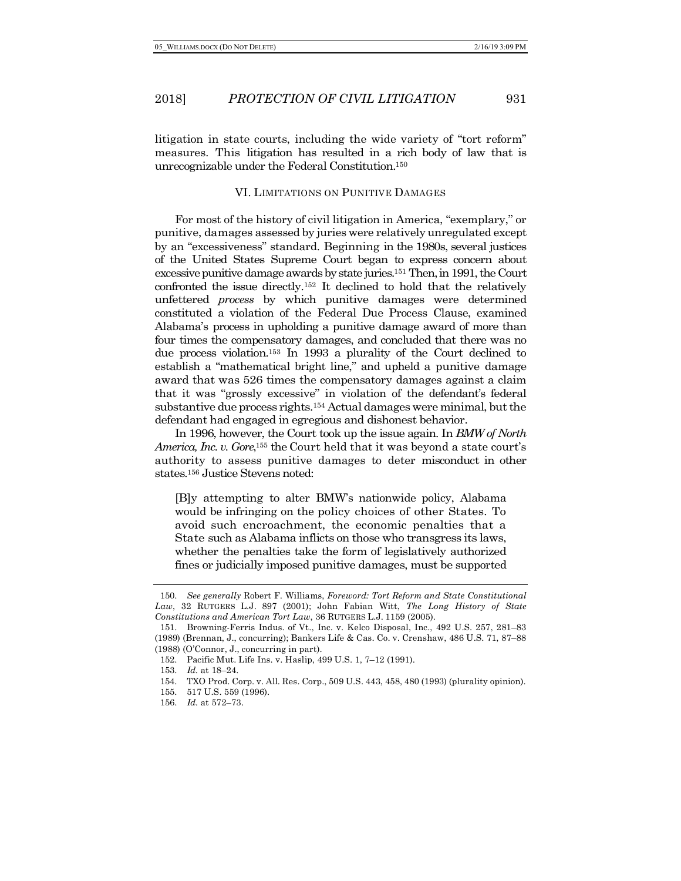litigation in state courts, including the wide variety of "tort reform" measures. This litigation has resulted in a rich body of law that is unrecognizable under the Federal Constitution.150

#### VI. LIMITATIONS ON PUNITIVE DAMAGES

For most of the history of civil litigation in America, "exemplary," or punitive, damages assessed by juries were relatively unregulated except by an "excessiveness" standard. Beginning in the 1980s, several justices of the United States Supreme Court began to express concern about excessive punitive damage awards by state juries.151 Then, in 1991, the Court confronted the issue directly.152 It declined to hold that the relatively unfettered *process* by which punitive damages were determined constituted a violation of the Federal Due Process Clause, examined Alabama's process in upholding a punitive damage award of more than four times the compensatory damages, and concluded that there was no due process violation.153 In 1993 a plurality of the Court declined to establish a "mathematical bright line," and upheld a punitive damage award that was 526 times the compensatory damages against a claim that it was "grossly excessive" in violation of the defendant's federal substantive due process rights.154 Actual damages were minimal, but the defendant had engaged in egregious and dishonest behavior.

In 1996, however, the Court took up the issue again. In *BMW of North America, Inc. v. Gore*, <sup>155</sup> the Court held that it was beyond a state court's authority to assess punitive damages to deter misconduct in other states.156 Justice Stevens noted:

[B]y attempting to alter BMW's nationwide policy, Alabama would be infringing on the policy choices of other States. To avoid such encroachment, the economic penalties that a State such as Alabama inflicts on those who transgress its laws, whether the penalties take the form of legislatively authorized fines or judicially imposed punitive damages, must be supported

<sup>150.</sup> *See generally* Robert F. Williams, *Foreword: Tort Reform and State Constitutional Law*, 32 RUTGERS L.J. 897 (2001); John Fabian Witt, *The Long History of State Constitutions and American Tort Law*, 36 RUTGERS L.J. 1159 (2005).

<sup>151.</sup> Browning-Ferris Indus. of Vt., Inc. v. Kelco Disposal, Inc., 492 U.S. 257, 281–83 (1989) (Brennan, J., concurring); Bankers Life & Cas. Co. v. Crenshaw, 486 U.S. 71, 87–88 (1988) (O'Connor, J., concurring in part).

<sup>152.</sup> Pacific Mut. Life Ins. v. Haslip, 499 U.S. 1, 7–12 (1991).

<sup>153.</sup> *Id.* at 18–24.

<sup>154.</sup> TXO Prod. Corp. v. All. Res. Corp., 509 U.S. 443, 458, 480 (1993) (plurality opinion).

<sup>155.</sup> 517 U.S. 559 (1996).

<sup>156.</sup> *Id.* at 572–73.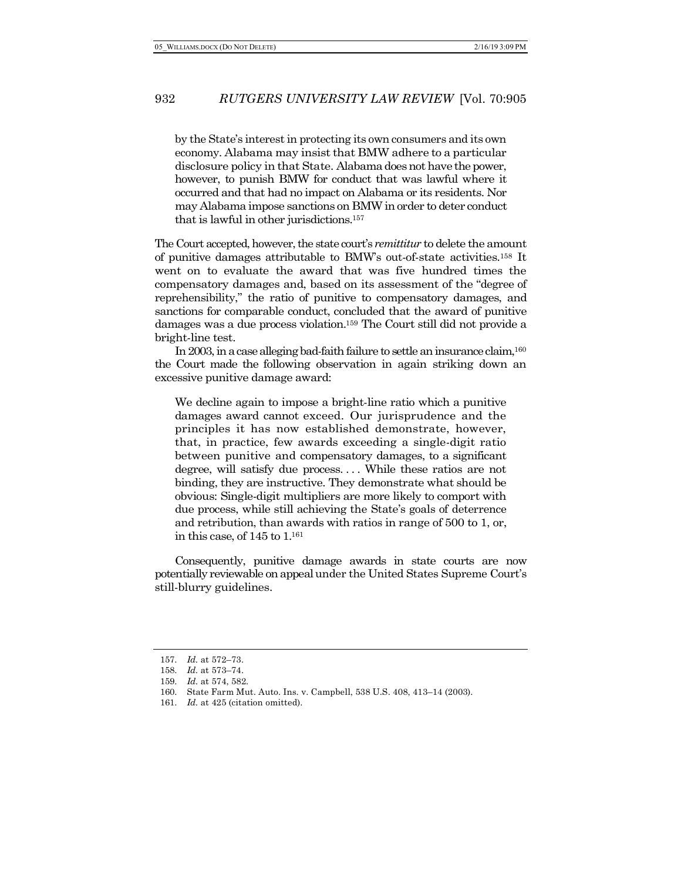by the State's interest in protecting its own consumers and its own economy. Alabama may insist that BMW adhere to a particular disclosure policy in that State. Alabama doesnot have the power, however, to punish BMW for conduct that was lawful where it occurred and that had no impact on Alabama or its residents. Nor may Alabama impose sanctions on BMW in order to deter conduct that is lawful in other jurisdictions.157

The Court accepted, however, the state court's *remittitur* to delete the amount of punitive damages attributable to BMW's out-of-state activities.158 It went on to evaluate the award that was five hundred times the compensatory damages and, based on its assessment of the "degree of reprehensibility," the ratio of punitive to compensatory damages, and sanctions for comparable conduct, concluded that the award of punitive damages was a due process violation.159 The Court still did not provide a bright-line test.

In 2003, in a case alleging bad-faith failure to settle an insurance claim, 160 the Court made the following observation in again striking down an excessive punitive damage award:

We decline again to impose a bright-line ratio which a punitive damages award cannot exceed. Our jurisprudence and the principles it has now established demonstrate, however, that, in practice, few awards exceeding a single-digit ratio between punitive and compensatory damages, to a significant degree, will satisfy due process. . . . While these ratios are not binding, they are instructive. They demonstrate what should be obvious: Single-digit multipliers are more likely to comport with due process, while still achieving the State's goals of deterrence and retribution, than awards with ratios in range of 500 to 1, or, in this case, of 145 to 1.161

Consequently, punitive damage awards in state courts are now potentially reviewable on appeal under the United States Supreme Court's still-blurry guidelines.

<sup>157.</sup> *Id.* at 572–73.

<sup>158.</sup> *Id.* at 573–74.

<sup>159.</sup> *Id.* at 574, 582.

<sup>160.</sup> State Farm Mut. Auto. Ins. v. Campbell, 538 U.S. 408, 413–14 (2003).

<sup>161.</sup> *Id.* at 425 (citation omitted).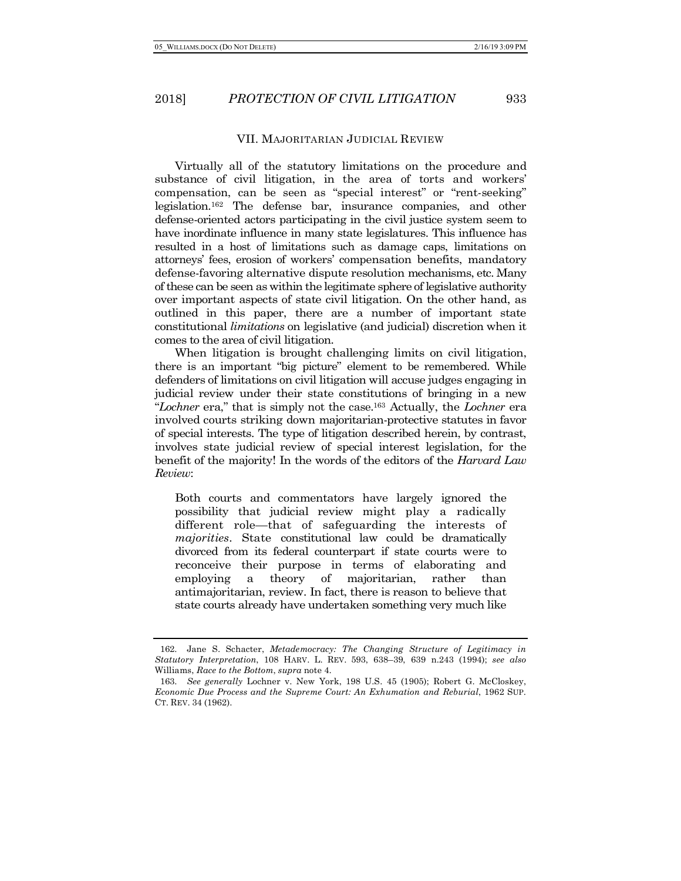#### VII. MAJORITARIAN JUDICIAL REVIEW

Virtually all of the statutory limitations on the procedure and substance of civil litigation, in the area of torts and workers' compensation, can be seen as "special interest" or "rent-seeking" legislation.162 The defense bar, insurance companies, and other defense-oriented actors participating in the civil justice system seem to have inordinate influence in many state legislatures. This influence has resulted in a host of limitations such as damage caps, limitations on attorneys' fees, erosion of workers' compensation benefits, mandatory defense-favoring alternative dispute resolution mechanisms, etc. Many of these can be seen as within the legitimate sphere of legislative authority over important aspects of state civil litigation. On the other hand, as outlined in this paper, there are a number of important state constitutional *limitations* on legislative (and judicial) discretion when it comes to the area of civil litigation.

When litigation is brought challenging limits on civil litigation, there is an important "big picture" element to be remembered. While defenders of limitations on civil litigation will accuse judges engaging in judicial review under their state constitutions of bringing in a new "*Lochner* era," that is simply not the case.163 Actually, the *Lochner* era involved courts striking down majoritarian-protective statutes in favor of special interests. The type of litigation described herein, by contrast, involves state judicial review of special interest legislation, for the benefit of the majority! In the words of the editors of the *Harvard Law Review*:

Both courts and commentators have largely ignored the possibility that judicial review might play a radically different role—that of safeguarding the interests of *majorities*. State constitutional law could be dramatically divorced from its federal counterpart if state courts were to reconceive their purpose in terms of elaborating and employing a theory of majoritarian, rather than antimajoritarian, review. In fact, there is reason to believe that state courts already have undertaken something very much like

<sup>162.</sup> Jane S. Schacter, *Metademocracy: The Changing Structure of Legitimacy in Statutory Interpretation*, 108 HARV. L. REV. 593, 638–39, 639 n.243 (1994); *see also* Williams, *Race to the Bottom*, *supra* note 4.

<sup>163.</sup> *See generally* Lochner v. New York, 198 U.S. 45 (1905); Robert G. McCloskey, *Economic Due Process and the Supreme Court: An Exhumation and Reburial*, 1962 SUP. CT. REV. 34 (1962).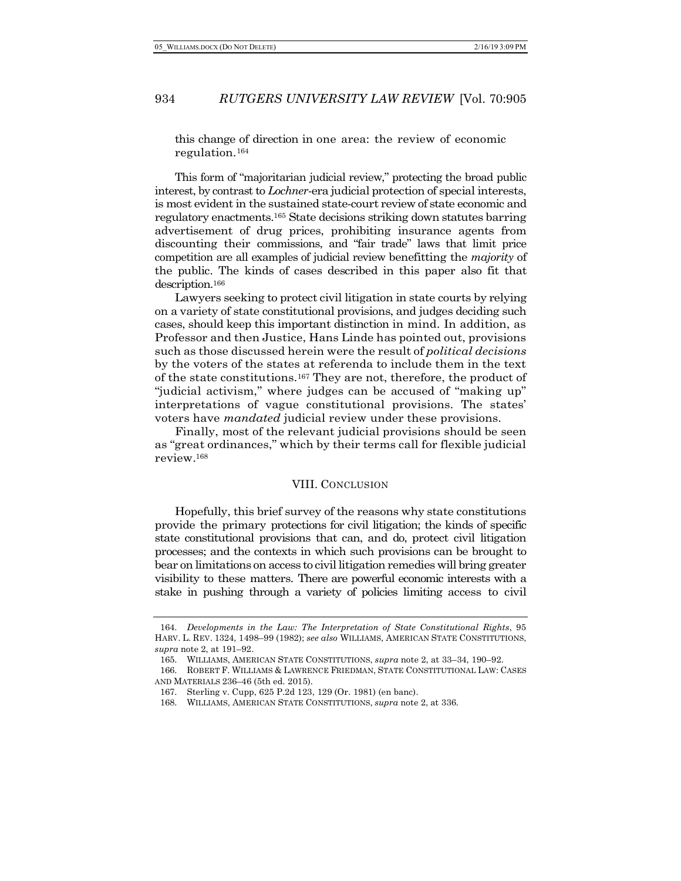this change of direction in one area: the review of economic regulation.164

This form of "majoritarian judicial review," protecting the broad public interest, by contrast to *Lochner-*era judicial protection of special interests, is most evident in the sustained state-court review of state economic and regulatory enactments.165 State decisions striking down statutes barring advertisement of drug prices, prohibiting insurance agents from discounting their commissions, and "fair trade" laws that limit price competition are all examples of judicial review benefitting the *majority* of the public. The kinds of cases described in this paper also fit that description.166

Lawyers seeking to protect civil litigation in state courts by relying on a variety of state constitutional provisions, and judges deciding such cases, should keep this important distinction in mind. In addition, as Professor and then Justice, Hans Linde has pointed out, provisions such as those discussed herein were the result of *political decisions* by the voters of the states at referenda to include them in the text of the state constitutions.167 They are not, therefore, the product of "judicial activism," where judges can be accused of "making up" interpretations of vague constitutional provisions. The states' voters have *mandated* judicial review under these provisions.

Finally, most of the relevant judicial provisions should be seen as "great ordinances," which by their terms call for flexible judicial review.168

#### VIII. CONCLUSION

Hopefully, this brief survey of the reasons why state constitutions provide the primary protections for civil litigation; the kinds of specific state constitutional provisions that can, and do, protect civil litigation processes; and the contexts in which such provisions can be brought to bear on limitations on access to civil litigation remedies will bring greater visibility to these matters. There are powerful economic interests with a stake in pushing through a variety of policies limiting access to civil

<sup>164.</sup> *Developments in the Law: The Interpretation of State Constitutional Rights*, 95 HARV. L. REV. 1324, 1498–99 (1982); *see also* WILLIAMS, AMERICAN STATE CONSTITUTIONS, *supra* note 2, at 191–92.

<sup>165.</sup> WILLIAMS, AMERICAN STATE CONSTITUTIONS, *supra* note 2, at 33–34, 190–92.

<sup>166.</sup> ROBERT F. WILLIAMS & LAWRENCE FRIEDMAN, STATE CONSTITUTIONAL LAW: CASES AND MATERIALS 236–46 (5th ed. 2015).

<sup>167.</sup> Sterling v. Cupp, 625 P.2d 123, 129 (Or. 1981) (en banc).

<sup>168.</sup> WILLIAMS, AMERICAN STATE CONSTITUTIONS, *supra* note 2, at 336.